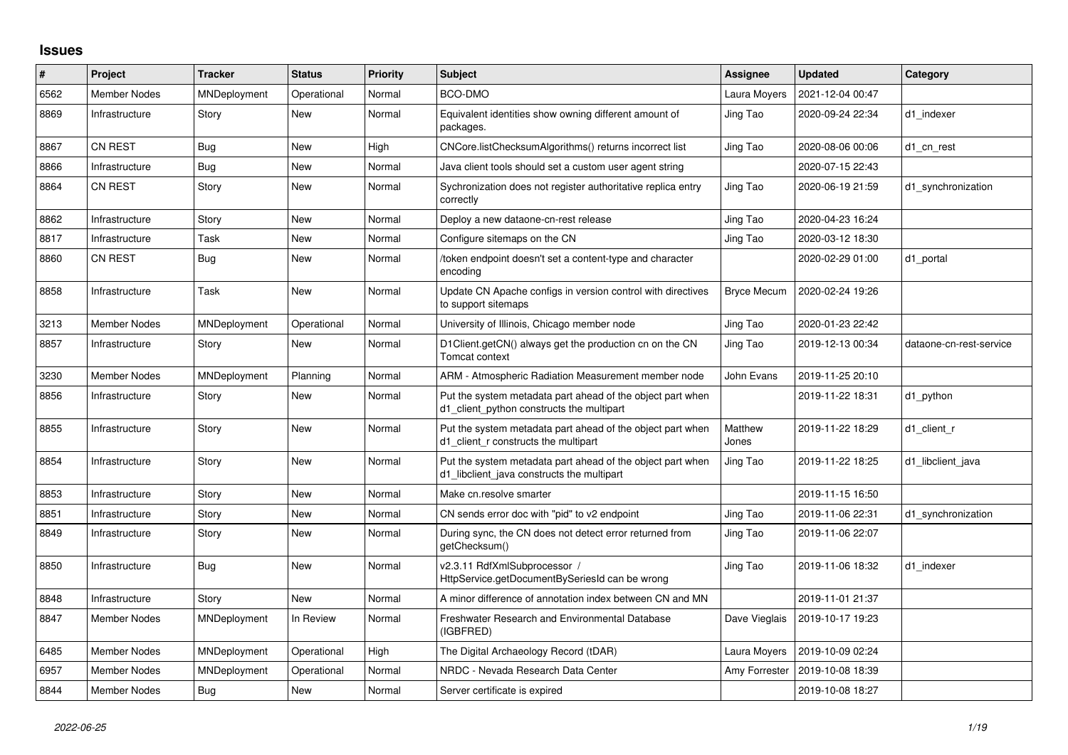## **Issues**

| $\#$ | Project             | <b>Tracker</b>      | <b>Status</b> | Priority | <b>Subject</b>                                                                                           | Assignee           | <b>Updated</b>   | Category                |
|------|---------------------|---------------------|---------------|----------|----------------------------------------------------------------------------------------------------------|--------------------|------------------|-------------------------|
| 6562 | <b>Member Nodes</b> | <b>MNDeployment</b> | Operational   | Normal   | BCO-DMO                                                                                                  | Laura Moyers       | 2021-12-04 00:47 |                         |
| 8869 | Infrastructure      | Story               | New           | Normal   | Equivalent identities show owning different amount of<br>packages.                                       | Jing Tao           | 2020-09-24 22:34 | d1 indexer              |
| 8867 | <b>CN REST</b>      | Bug                 | <b>New</b>    | High     | CNCore.listChecksumAlgorithms() returns incorrect list                                                   | Jing Tao           | 2020-08-06 00:06 | d1 cn rest              |
| 8866 | Infrastructure      | <b>Bug</b>          | New           | Normal   | Java client tools should set a custom user agent string                                                  |                    | 2020-07-15 22:43 |                         |
| 8864 | <b>CN REST</b>      | Story               | New           | Normal   | Sychronization does not register authoritative replica entry<br>correctly                                | Jing Tao           | 2020-06-19 21:59 | d1_synchronization      |
| 8862 | Infrastructure      | Story               | <b>New</b>    | Normal   | Deploy a new dataone-cn-rest release                                                                     | Jing Tao           | 2020-04-23 16:24 |                         |
| 8817 | Infrastructure      | Task                | <b>New</b>    | Normal   | Configure sitemaps on the CN                                                                             | Jing Tao           | 2020-03-12 18:30 |                         |
| 8860 | <b>CN REST</b>      | <b>Bug</b>          | New           | Normal   | /token endpoint doesn't set a content-type and character<br>encoding                                     |                    | 2020-02-29 01:00 | d1_portal               |
| 8858 | Infrastructure      | Task                | <b>New</b>    | Normal   | Update CN Apache configs in version control with directives<br>to support sitemaps                       | <b>Bryce Mecum</b> | 2020-02-24 19:26 |                         |
| 3213 | <b>Member Nodes</b> | MNDeployment        | Operational   | Normal   | University of Illinois, Chicago member node                                                              | Jing Tao           | 2020-01-23 22:42 |                         |
| 8857 | Infrastructure      | Story               | New           | Normal   | D1Client.getCN() always get the production cn on the CN<br>Tomcat context                                | Jing Tao           | 2019-12-13 00:34 | dataone-cn-rest-service |
| 3230 | <b>Member Nodes</b> | MNDeployment        | Planning      | Normal   | ARM - Atmospheric Radiation Measurement member node                                                      | John Evans         | 2019-11-25 20:10 |                         |
| 8856 | Infrastructure      | Story               | New           | Normal   | Put the system metadata part ahead of the object part when<br>d1_client_python constructs the multipart  |                    | 2019-11-22 18:31 | d1 python               |
| 8855 | Infrastructure      | Story               | New           | Normal   | Put the system metadata part ahead of the object part when<br>d1 client r constructs the multipart       | Matthew<br>Jones   | 2019-11-22 18:29 | d1 client r             |
| 8854 | Infrastructure      | Story               | New           | Normal   | Put the system metadata part ahead of the object part when<br>d1 libclient java constructs the multipart | Jing Tao           | 2019-11-22 18:25 | d1 libclient java       |
| 8853 | Infrastructure      | Story               | New           | Normal   | Make cn.resolve smarter                                                                                  |                    | 2019-11-15 16:50 |                         |
| 8851 | Infrastructure      | Story               | New           | Normal   | CN sends error doc with "pid" to v2 endpoint                                                             | Jing Tao           | 2019-11-06 22:31 | d1 synchronization      |
| 8849 | Infrastructure      | Story               | New           | Normal   | During sync, the CN does not detect error returned from<br>qetChecksum()                                 | Jing Tao           | 2019-11-06 22:07 |                         |
| 8850 | Infrastructure      | Bug                 | New           | Normal   | v2.3.11 RdfXmlSubprocessor /<br>HttpService.getDocumentBySeriesId can be wrong                           | Jing Tao           | 2019-11-06 18:32 | d1 indexer              |
| 8848 | Infrastructure      | Story               | New           | Normal   | A minor difference of annotation index between CN and MN                                                 |                    | 2019-11-01 21:37 |                         |
| 8847 | Member Nodes        | MNDeployment        | In Review     | Normal   | Freshwater Research and Environmental Database<br>(IGBFRED)                                              | Dave Vieglais      | 2019-10-17 19:23 |                         |
| 6485 | <b>Member Nodes</b> | MNDeployment        | Operational   | High     | The Digital Archaeology Record (tDAR)                                                                    | Laura Moyers       | 2019-10-09 02:24 |                         |
| 6957 | <b>Member Nodes</b> | MNDeployment        | Operational   | Normal   | NRDC - Nevada Research Data Center                                                                       | Amy Forrester      | 2019-10-08 18:39 |                         |
| 8844 | Member Nodes        | Bug                 | New           | Normal   | Server certificate is expired                                                                            |                    | 2019-10-08 18:27 |                         |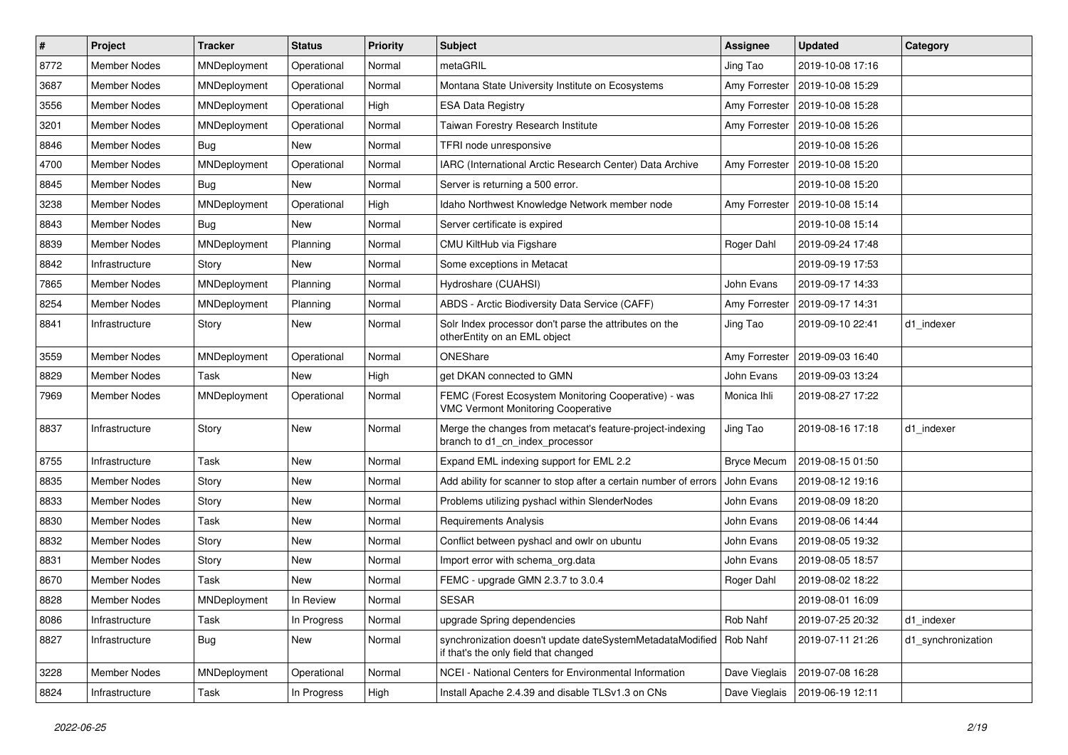| $\vert$ # | Project             | <b>Tracker</b>      | <b>Status</b> | <b>Priority</b> | Subject                                                                                            | <b>Assignee</b>    | <b>Updated</b>   | Category           |
|-----------|---------------------|---------------------|---------------|-----------------|----------------------------------------------------------------------------------------------------|--------------------|------------------|--------------------|
| 8772      | <b>Member Nodes</b> | MNDeployment        | Operational   | Normal          | metaGRIL                                                                                           | Jing Tao           | 2019-10-08 17:16 |                    |
| 3687      | <b>Member Nodes</b> | MNDeployment        | Operational   | Normal          | Montana State University Institute on Ecosystems                                                   | Amy Forrester      | 2019-10-08 15:29 |                    |
| 3556      | Member Nodes        | MNDeployment        | Operational   | High            | <b>ESA Data Registry</b>                                                                           | Amy Forrester      | 2019-10-08 15:28 |                    |
| 3201      | Member Nodes        | <b>MNDeployment</b> | Operational   | Normal          | Taiwan Forestry Research Institute                                                                 | Amy Forrester      | 2019-10-08 15:26 |                    |
| 8846      | <b>Member Nodes</b> | Bug                 | <b>New</b>    | Normal          | TFRI node unresponsive                                                                             |                    | 2019-10-08 15:26 |                    |
| 4700      | Member Nodes        | MNDeployment        | Operational   | Normal          | IARC (International Arctic Research Center) Data Archive                                           | Amy Forrester      | 2019-10-08 15:20 |                    |
| 8845      | <b>Member Nodes</b> | <b>Bug</b>          | New           | Normal          | Server is returning a 500 error.                                                                   |                    | 2019-10-08 15:20 |                    |
| 3238      | Member Nodes        | MNDeployment        | Operational   | High            | Idaho Northwest Knowledge Network member node                                                      | Amy Forrester      | 2019-10-08 15:14 |                    |
| 8843      | Member Nodes        | <b>Bug</b>          | New           | Normal          | Server certificate is expired                                                                      |                    | 2019-10-08 15:14 |                    |
| 8839      | Member Nodes        | MNDeployment        | Planning      | Normal          | CMU KiltHub via Figshare                                                                           | Roger Dahl         | 2019-09-24 17:48 |                    |
| 8842      | Infrastructure      | Story               | New           | Normal          | Some exceptions in Metacat                                                                         |                    | 2019-09-19 17:53 |                    |
| 7865      | Member Nodes        | MNDeployment        | Planning      | Normal          | Hydroshare (CUAHSI)                                                                                | John Evans         | 2019-09-17 14:33 |                    |
| 8254      | Member Nodes        | MNDeployment        | Planning      | Normal          | ABDS - Arctic Biodiversity Data Service (CAFF)                                                     | Amy Forrester      | 2019-09-17 14:31 |                    |
| 8841      | Infrastructure      | Story               | New           | Normal          | Solr Index processor don't parse the attributes on the<br>otherEntity on an EML object             | Jing Tao           | 2019-09-10 22:41 | d1 indexer         |
| 3559      | <b>Member Nodes</b> | MNDeployment        | Operational   | Normal          | ONEShare                                                                                           | Amy Forrester      | 2019-09-03 16:40 |                    |
| 8829      | Member Nodes        | Task                | New           | High            | get DKAN connected to GMN                                                                          | John Evans         | 2019-09-03 13:24 |                    |
| 7969      | Member Nodes        | MNDeployment        | Operational   | Normal          | FEMC (Forest Ecosystem Monitoring Cooperative) - was<br><b>VMC Vermont Monitoring Cooperative</b>  | Monica Ihli        | 2019-08-27 17:22 |                    |
| 8837      | Infrastructure      | Story               | New           | Normal          | Merge the changes from metacat's feature-project-indexing<br>branch to d1_cn_index_processor       | Jing Tao           | 2019-08-16 17:18 | d1 indexer         |
| 8755      | Infrastructure      | Task                | New           | Normal          | Expand EML indexing support for EML 2.2                                                            | <b>Bryce Mecum</b> | 2019-08-15 01:50 |                    |
| 8835      | Member Nodes        | Story               | New           | Normal          | Add ability for scanner to stop after a certain number of errors                                   | John Evans         | 2019-08-12 19:16 |                    |
| 8833      | Member Nodes        | Story               | New           | Normal          | Problems utilizing pyshacl within SlenderNodes                                                     | John Evans         | 2019-08-09 18:20 |                    |
| 8830      | Member Nodes        | Task                | New           | Normal          | Requirements Analysis                                                                              | John Evans         | 2019-08-06 14:44 |                    |
| 8832      | <b>Member Nodes</b> | Story               | New           | Normal          | Conflict between pyshacl and owlr on ubuntu                                                        | John Evans         | 2019-08-05 19:32 |                    |
| 8831      | <b>Member Nodes</b> | Story               | New           | Normal          | Import error with schema org.data                                                                  | John Evans         | 2019-08-05 18:57 |                    |
| 8670      | Member Nodes        | Task                | New           | Normal          | FEMC - upgrade GMN 2.3.7 to 3.0.4                                                                  | Roger Dahl         | 2019-08-02 18:22 |                    |
| 8828      | Member Nodes        | MNDeployment        | In Review     | Normal          | <b>SESAR</b>                                                                                       |                    | 2019-08-01 16:09 |                    |
| 8086      | Infrastructure      | Task                | In Progress   | Normal          | upgrade Spring dependencies                                                                        | Rob Nahf           | 2019-07-25 20:32 | d1 indexer         |
| 8827      | Infrastructure      | <b>Bug</b>          | New           | Normal          | synchronization doesn't update dateSystemMetadataModified<br>if that's the only field that changed | Rob Nahf           | 2019-07-11 21:26 | d1_synchronization |
| 3228      | Member Nodes        | MNDeployment        | Operational   | Normal          | NCEI - National Centers for Environmental Information                                              | Dave Vieglais      | 2019-07-08 16:28 |                    |
| 8824      | Infrastructure      | Task                | In Progress   | High            | Install Apache 2.4.39 and disable TLSv1.3 on CNs                                                   | Dave Vieglais      | 2019-06-19 12:11 |                    |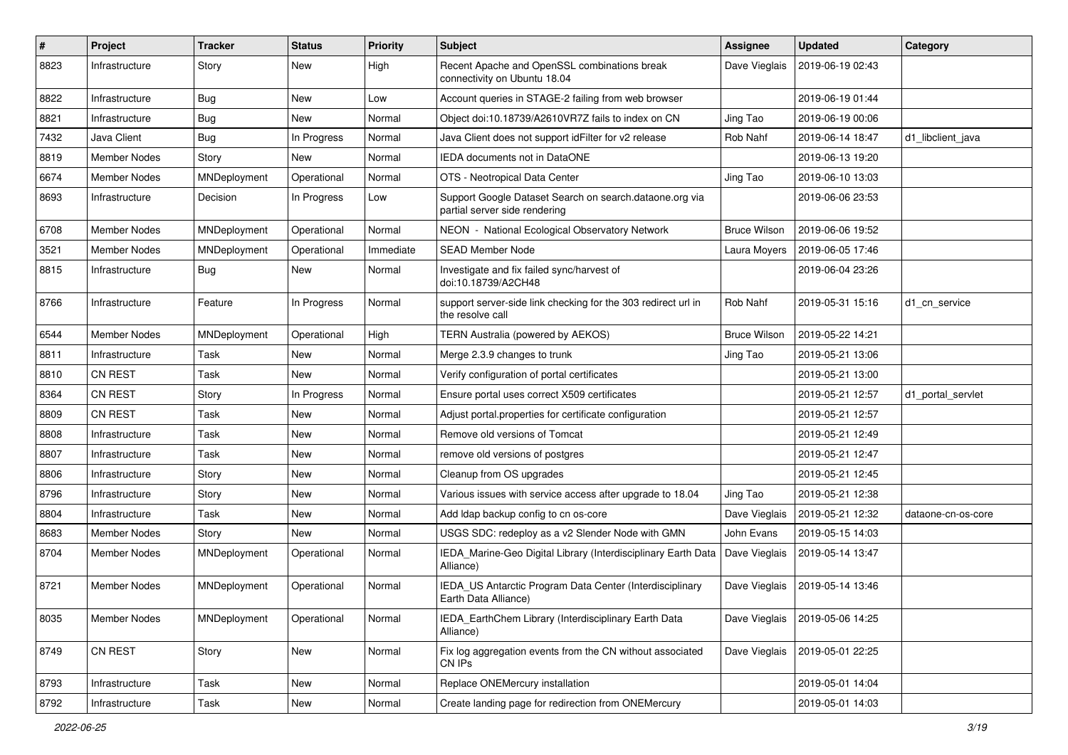| $\pmb{\#}$ | Project             | <b>Tracker</b> | <b>Status</b> | <b>Priority</b> | Subject                                                                                  | Assignee            | <b>Updated</b>   | Category           |
|------------|---------------------|----------------|---------------|-----------------|------------------------------------------------------------------------------------------|---------------------|------------------|--------------------|
| 8823       | Infrastructure      | Story          | New           | High            | Recent Apache and OpenSSL combinations break<br>connectivity on Ubuntu 18.04             | Dave Vieglais       | 2019-06-19 02:43 |                    |
| 8822       | Infrastructure      | <b>Bug</b>     | New           | Low             | Account queries in STAGE-2 failing from web browser                                      |                     | 2019-06-19 01:44 |                    |
| 8821       | Infrastructure      | <b>Bug</b>     | New           | Normal          | Object doi:10.18739/A2610VR7Z fails to index on CN                                       | Jing Tao            | 2019-06-19 00:06 |                    |
| 7432       | Java Client         | <b>Bug</b>     | In Progress   | Normal          | Java Client does not support idFilter for v2 release                                     | Rob Nahf            | 2019-06-14 18:47 | d1 libclient java  |
| 8819       | Member Nodes        | Story          | New           | Normal          | IEDA documents not in DataONE                                                            |                     | 2019-06-13 19:20 |                    |
| 6674       | Member Nodes        | MNDeployment   | Operational   | Normal          | OTS - Neotropical Data Center                                                            | Jing Tao            | 2019-06-10 13:03 |                    |
| 8693       | Infrastructure      | Decision       | In Progress   | Low             | Support Google Dataset Search on search.dataone.org via<br>partial server side rendering |                     | 2019-06-06 23:53 |                    |
| 6708       | <b>Member Nodes</b> | MNDeployment   | Operational   | Normal          | NEON - National Ecological Observatory Network                                           | <b>Bruce Wilson</b> | 2019-06-06 19:52 |                    |
| 3521       | Member Nodes        | MNDeployment   | Operational   | Immediate       | <b>SEAD Member Node</b>                                                                  | Laura Moyers        | 2019-06-05 17:46 |                    |
| 8815       | Infrastructure      | <b>Bug</b>     | New           | Normal          | Investigate and fix failed sync/harvest of<br>doi:10.18739/A2CH48                        |                     | 2019-06-04 23:26 |                    |
| 8766       | Infrastructure      | Feature        | In Progress   | Normal          | support server-side link checking for the 303 redirect url in<br>the resolve call        | Rob Nahf            | 2019-05-31 15:16 | d1_cn_service      |
| 6544       | <b>Member Nodes</b> | MNDeployment   | Operational   | High            | TERN Australia (powered by AEKOS)                                                        | <b>Bruce Wilson</b> | 2019-05-22 14:21 |                    |
| 8811       | Infrastructure      | Task           | New           | Normal          | Merge 2.3.9 changes to trunk                                                             | Jing Tao            | 2019-05-21 13:06 |                    |
| 8810       | CN REST             | Task           | New           | Normal          | Verify configuration of portal certificates                                              |                     | 2019-05-21 13:00 |                    |
| 8364       | CN REST             | Story          | In Progress   | Normal          | Ensure portal uses correct X509 certificates                                             |                     | 2019-05-21 12:57 | d1 portal servlet  |
| 8809       | CN REST             | Task           | New           | Normal          | Adjust portal properties for certificate configuration                                   |                     | 2019-05-21 12:57 |                    |
| 8808       | Infrastructure      | Task           | New           | Normal          | Remove old versions of Tomcat                                                            |                     | 2019-05-21 12:49 |                    |
| 8807       | Infrastructure      | Task           | New           | Normal          | remove old versions of postgres                                                          |                     | 2019-05-21 12:47 |                    |
| 8806       | Infrastructure      | Story          | New           | Normal          | Cleanup from OS upgrades                                                                 |                     | 2019-05-21 12:45 |                    |
| 8796       | Infrastructure      | Story          | New           | Normal          | Various issues with service access after upgrade to 18.04                                | Jing Tao            | 2019-05-21 12:38 |                    |
| 8804       | Infrastructure      | Task           | New           | Normal          | Add Idap backup config to cn os-core                                                     | Dave Vieglais       | 2019-05-21 12:32 | dataone-cn-os-core |
| 8683       | Member Nodes        | Story          | <b>New</b>    | Normal          | USGS SDC: redeploy as a v2 Slender Node with GMN                                         | John Evans          | 2019-05-15 14:03 |                    |
| 8704       | Member Nodes        | MNDeployment   | Operational   | Normal          | IEDA_Marine-Geo Digital Library (Interdisciplinary Earth Data<br>Alliance)               | Dave Vieglais       | 2019-05-14 13:47 |                    |
| 8721       | <b>Member Nodes</b> | MNDeployment   | Operational   | Normal          | IEDA_US Antarctic Program Data Center (Interdisciplinary<br>Earth Data Alliance)         | Dave Vieglais       | 2019-05-14 13:46 |                    |
| 8035       | Member Nodes        | MNDeployment   | Operational   | Normal          | IEDA_EarthChem Library (Interdisciplinary Earth Data<br>Alliance)                        | Dave Vieglais       | 2019-05-06 14:25 |                    |
| 8749       | CN REST             | Story          | New           | Normal          | Fix log aggregation events from the CN without associated<br>CN IPs                      | Dave Vieglais       | 2019-05-01 22:25 |                    |
| 8793       | Infrastructure      | Task           | New           | Normal          | Replace ONEMercury installation                                                          |                     | 2019-05-01 14:04 |                    |
| 8792       | Infrastructure      | Task           | New           | Normal          | Create landing page for redirection from ONEMercury                                      |                     | 2019-05-01 14:03 |                    |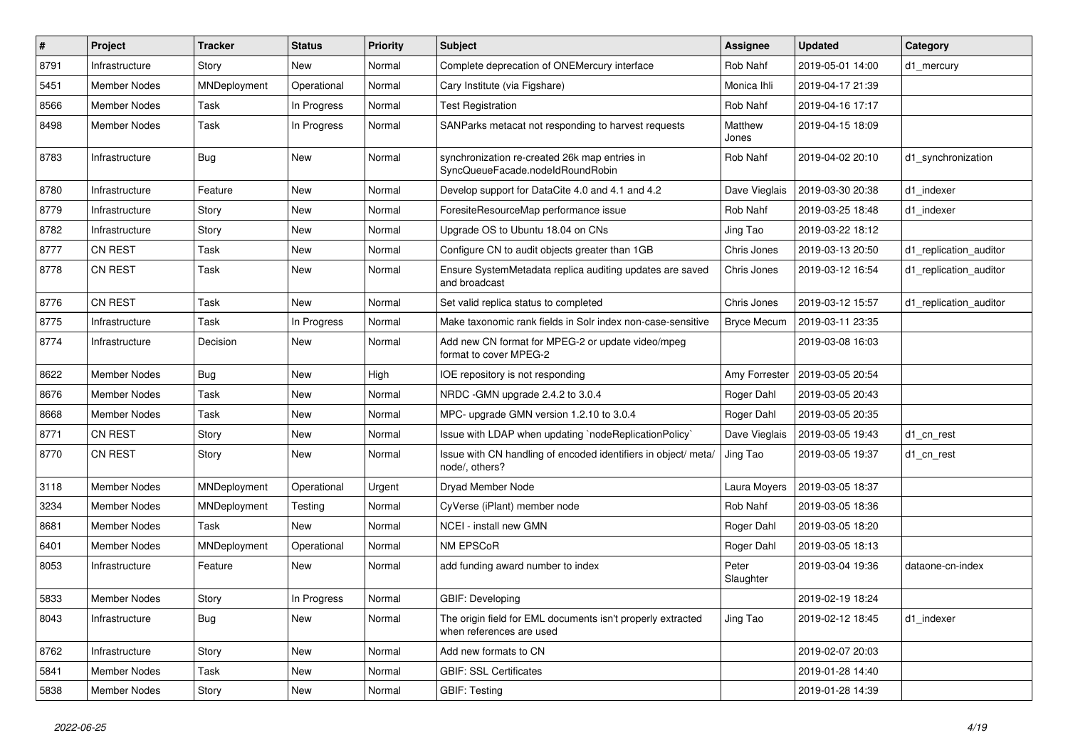| #    | Project             | <b>Tracker</b> | <b>Status</b> | <b>Priority</b> | Subject                                                                                 | Assignee           | <b>Updated</b>   | Category               |
|------|---------------------|----------------|---------------|-----------------|-----------------------------------------------------------------------------------------|--------------------|------------------|------------------------|
| 8791 | Infrastructure      | Story          | New           | Normal          | Complete deprecation of ONEMercury interface                                            | Rob Nahf           | 2019-05-01 14:00 | d1 mercury             |
| 5451 | <b>Member Nodes</b> | MNDeployment   | Operational   | Normal          | Cary Institute (via Figshare)                                                           | Monica Ihli        | 2019-04-17 21:39 |                        |
| 8566 | Member Nodes        | Task           | In Progress   | Normal          | <b>Test Registration</b>                                                                | Rob Nahf           | 2019-04-16 17:17 |                        |
| 8498 | Member Nodes        | Task           | In Progress   | Normal          | SANParks metacat not responding to harvest requests                                     | Matthew<br>Jones   | 2019-04-15 18:09 |                        |
| 8783 | Infrastructure      | <b>Bug</b>     | New           | Normal          | synchronization re-created 26k map entries in<br>SyncQueueFacade.nodeIdRoundRobin       | Rob Nahf           | 2019-04-02 20:10 | d1_synchronization     |
| 8780 | Infrastructure      | Feature        | New           | Normal          | Develop support for DataCite 4.0 and 4.1 and 4.2                                        | Dave Vieglais      | 2019-03-30 20:38 | d1 indexer             |
| 8779 | Infrastructure      | Story          | New           | Normal          | ForesiteResourceMap performance issue                                                   | Rob Nahf           | 2019-03-25 18:48 | d1 indexer             |
| 8782 | Infrastructure      | Story          | <b>New</b>    | Normal          | Upgrade OS to Ubuntu 18.04 on CNs                                                       | Jing Tao           | 2019-03-22 18:12 |                        |
| 8777 | CN REST             | Task           | New           | Normal          | Configure CN to audit objects greater than 1GB                                          | Chris Jones        | 2019-03-13 20:50 | d1 replication auditor |
| 8778 | CN REST             | Task           | New           | Normal          | Ensure SystemMetadata replica auditing updates are saved<br>and broadcast               | Chris Jones        | 2019-03-12 16:54 | d1 replication auditor |
| 8776 | CN REST             | Task           | New           | Normal          | Set valid replica status to completed                                                   | Chris Jones        | 2019-03-12 15:57 | d1 replication auditor |
| 8775 | Infrastructure      | Task           | In Progress   | Normal          | Make taxonomic rank fields in Solr index non-case-sensitive                             | <b>Bryce Mecum</b> | 2019-03-11 23:35 |                        |
| 8774 | Infrastructure      | Decision       | New           | Normal          | Add new CN format for MPEG-2 or update video/mpeg<br>format to cover MPEG-2             |                    | 2019-03-08 16:03 |                        |
| 8622 | <b>Member Nodes</b> | <b>Bug</b>     | <b>New</b>    | High            | IOE repository is not responding                                                        | Amy Forrester      | 2019-03-05 20:54 |                        |
| 8676 | Member Nodes        | Task           | New           | Normal          | NRDC -GMN upgrade 2.4.2 to 3.0.4                                                        | Roger Dahl         | 2019-03-05 20:43 |                        |
| 8668 | Member Nodes        | Task           | New           | Normal          | MPC- upgrade GMN version 1.2.10 to 3.0.4                                                | Roger Dahl         | 2019-03-05 20:35 |                        |
| 8771 | <b>CN REST</b>      | Story          | New           | Normal          | Issue with LDAP when updating `nodeReplicationPolicy`                                   | Dave Vieglais      | 2019-03-05 19:43 | d1 cn rest             |
| 8770 | <b>CN REST</b>      | Story          | New           | Normal          | Issue with CN handling of encoded identifiers in object/ meta/<br>node/, others?        | Jing Tao           | 2019-03-05 19:37 | d1_cn_rest             |
| 3118 | Member Nodes        | MNDeployment   | Operational   | Urgent          | Dryad Member Node                                                                       | Laura Moyers       | 2019-03-05 18:37 |                        |
| 3234 | Member Nodes        | MNDeployment   | Testing       | Normal          | CyVerse (iPlant) member node                                                            | Rob Nahf           | 2019-03-05 18:36 |                        |
| 8681 | Member Nodes        | Task           | New           | Normal          | NCEI - install new GMN                                                                  | Roger Dahl         | 2019-03-05 18:20 |                        |
| 6401 | Member Nodes        | MNDeployment   | Operational   | Normal          | NM EPSCoR                                                                               | Roger Dahl         | 2019-03-05 18:13 |                        |
| 8053 | Infrastructure      | Feature        | New           | Normal          | add funding award number to index                                                       | Peter<br>Slaughter | 2019-03-04 19:36 | dataone-cn-index       |
| 5833 | <b>Member Nodes</b> | Story          | In Progress   | Normal          | GBIF: Developing                                                                        |                    | 2019-02-19 18:24 |                        |
| 8043 | Infrastructure      | <b>Bug</b>     | New           | Normal          | The origin field for EML documents isn't properly extracted<br>when references are used | Jing Tao           | 2019-02-12 18:45 | d1_indexer             |
| 8762 | Infrastructure      | Story          | New           | Normal          | Add new formats to CN                                                                   |                    | 2019-02-07 20:03 |                        |
| 5841 | <b>Member Nodes</b> | Task           | New           | Normal          | <b>GBIF: SSL Certificates</b>                                                           |                    | 2019-01-28 14:40 |                        |
| 5838 | Member Nodes        | Story          | New           | Normal          | <b>GBIF: Testing</b>                                                                    |                    | 2019-01-28 14:39 |                        |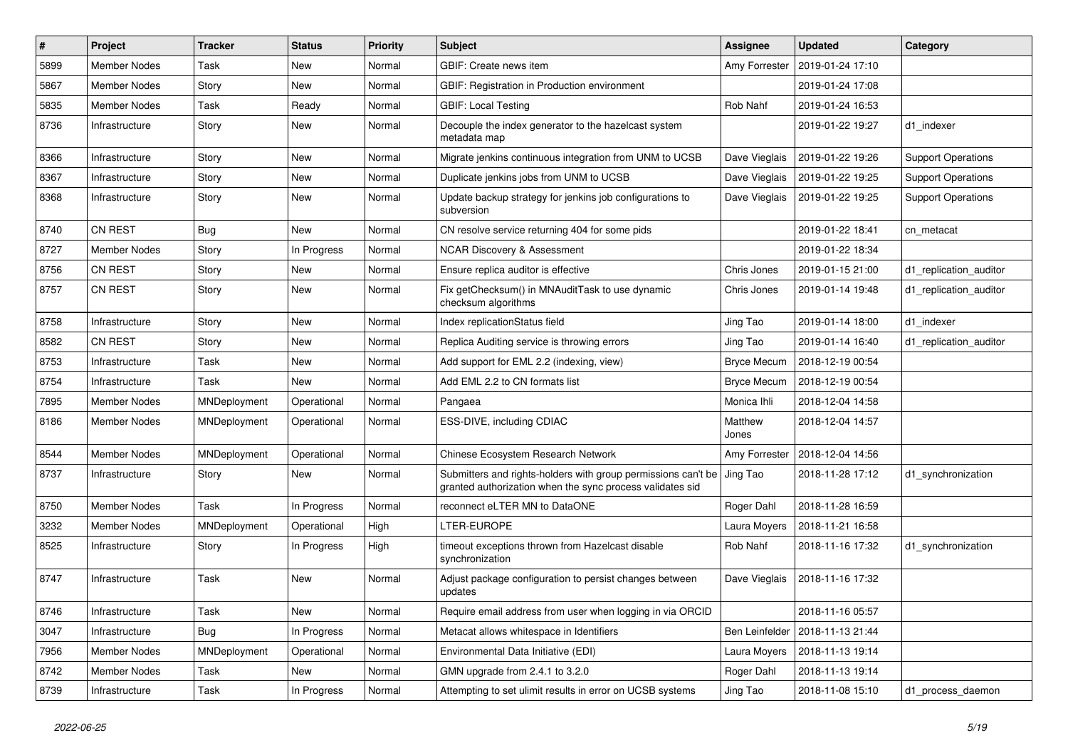| $\#$ | Project             | <b>Tracker</b> | <b>Status</b> | <b>Priority</b> | Subject                                                                                                                    | <b>Assignee</b>    | <b>Updated</b>                   | Category                  |
|------|---------------------|----------------|---------------|-----------------|----------------------------------------------------------------------------------------------------------------------------|--------------------|----------------------------------|---------------------------|
| 5899 | Member Nodes        | Task           | New           | Normal          | GBIF: Create news item                                                                                                     | Amy Forrester      | 2019-01-24 17:10                 |                           |
| 5867 | <b>Member Nodes</b> | Story          | New           | Normal          | GBIF: Registration in Production environment                                                                               |                    | 2019-01-24 17:08                 |                           |
| 5835 | Member Nodes        | Task           | Ready         | Normal          | <b>GBIF: Local Testing</b>                                                                                                 | Rob Nahf           | 2019-01-24 16:53                 |                           |
| 8736 | Infrastructure      | Story          | New           | Normal          | Decouple the index generator to the hazelcast system<br>metadata map                                                       |                    | 2019-01-22 19:27                 | d1 indexer                |
| 8366 | Infrastructure      | Story          | New           | Normal          | Migrate jenkins continuous integration from UNM to UCSB                                                                    | Dave Vieglais      | 2019-01-22 19:26                 | <b>Support Operations</b> |
| 8367 | Infrastructure      | Story          | New           | Normal          | Duplicate jenkins jobs from UNM to UCSB                                                                                    | Dave Vieglais      | 2019-01-22 19:25                 | <b>Support Operations</b> |
| 8368 | Infrastructure      | Story          | New           | Normal          | Update backup strategy for jenkins job configurations to<br>subversion                                                     | Dave Vieglais      | 2019-01-22 19:25                 | <b>Support Operations</b> |
| 8740 | CN REST             | <b>Bug</b>     | New           | Normal          | CN resolve service returning 404 for some pids                                                                             |                    | 2019-01-22 18:41                 | cn metacat                |
| 8727 | Member Nodes        | Story          | In Progress   | Normal          | <b>NCAR Discovery &amp; Assessment</b>                                                                                     |                    | 2019-01-22 18:34                 |                           |
| 8756 | <b>CN REST</b>      | Story          | New           | Normal          | Ensure replica auditor is effective                                                                                        | Chris Jones        | 2019-01-15 21:00                 | d1_replication_auditor    |
| 8757 | <b>CN REST</b>      | Story          | New           | Normal          | Fix getChecksum() in MNAuditTask to use dynamic<br>checksum algorithms                                                     | Chris Jones        | 2019-01-14 19:48                 | d1_replication_auditor    |
| 8758 | Infrastructure      | Story          | New           | Normal          | Index replicationStatus field                                                                                              | Jing Tao           | 2019-01-14 18:00                 | d1_indexer                |
| 8582 | <b>CN REST</b>      | Story          | New           | Normal          | Replica Auditing service is throwing errors                                                                                | Jing Tao           | 2019-01-14 16:40                 | d1 replication auditor    |
| 8753 | Infrastructure      | Task           | New           | Normal          | Add support for EML 2.2 (indexing, view)                                                                                   | <b>Bryce Mecum</b> | 2018-12-19 00:54                 |                           |
| 8754 | Infrastructure      | Task           | New           | Normal          | Add EML 2.2 to CN formats list                                                                                             | <b>Bryce Mecum</b> | 2018-12-19 00:54                 |                           |
| 7895 | Member Nodes        | MNDeployment   | Operational   | Normal          | Pangaea                                                                                                                    | Monica Ihli        | 2018-12-04 14:58                 |                           |
| 8186 | Member Nodes        | MNDeployment   | Operational   | Normal          | ESS-DIVE, including CDIAC                                                                                                  | Matthew<br>Jones   | 2018-12-04 14:57                 |                           |
| 8544 | <b>Member Nodes</b> | MNDeployment   | Operational   | Normal          | Chinese Ecosystem Research Network                                                                                         |                    | Amy Forrester   2018-12-04 14:56 |                           |
| 8737 | Infrastructure      | Story          | New           | Normal          | Submitters and rights-holders with group permissions can't be<br>granted authorization when the sync process validates sid | Jing Tao           | 2018-11-28 17:12                 | d1_synchronization        |
| 8750 | <b>Member Nodes</b> | Task           | In Progress   | Normal          | reconnect eLTER MN to DataONE                                                                                              | Roger Dahl         | 2018-11-28 16:59                 |                           |
| 3232 | <b>Member Nodes</b> | MNDeployment   | Operational   | High            | LTER-EUROPE                                                                                                                | Laura Moyers       | 2018-11-21 16:58                 |                           |
| 8525 | Infrastructure      | Story          | In Progress   | High            | timeout exceptions thrown from Hazelcast disable<br>synchronization                                                        | Rob Nahf           | 2018-11-16 17:32                 | d1_synchronization        |
| 8747 | Infrastructure      | Task           | New           | Normal          | Adjust package configuration to persist changes between<br>updates                                                         | Dave Vieglais      | 2018-11-16 17:32                 |                           |
| 8746 | Infrastructure      | Task           | New           | Normal          | Require email address from user when logging in via ORCID                                                                  |                    | 2018-11-16 05:57                 |                           |
| 3047 | Infrastructure      | <b>Bug</b>     | In Progress   | Normal          | Metacat allows whitespace in Identifiers                                                                                   | Ben Leinfelder     | 2018-11-13 21:44                 |                           |
| 7956 | Member Nodes        | MNDeployment   | Operational   | Normal          | Environmental Data Initiative (EDI)                                                                                        | Laura Moyers       | 2018-11-13 19:14                 |                           |
| 8742 | Member Nodes        | Task           | New           | Normal          | GMN upgrade from 2.4.1 to 3.2.0                                                                                            | Roger Dahl         | 2018-11-13 19:14                 |                           |
| 8739 | Infrastructure      | Task           | In Progress   | Normal          | Attempting to set ulimit results in error on UCSB systems                                                                  | Jing Tao           | 2018-11-08 15:10                 | d1_process_daemon         |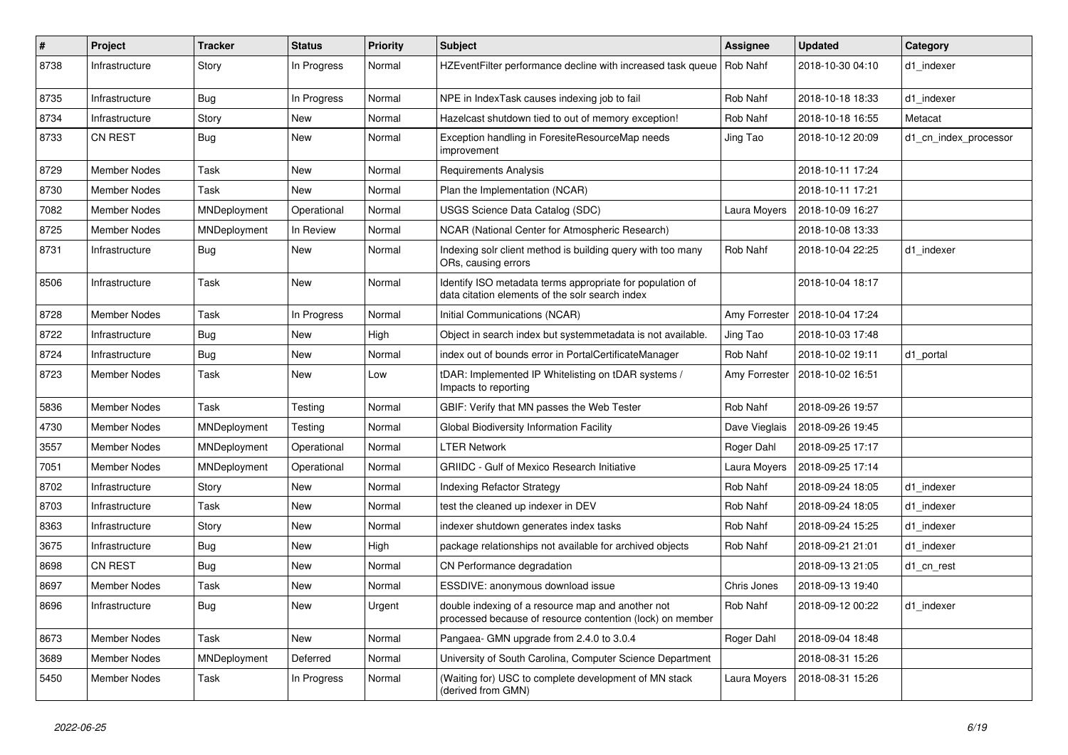| $\#$ | Project             | <b>Tracker</b> | <b>Status</b> | <b>Priority</b> | Subject                                                                                                        | <b>Assignee</b> | <b>Updated</b>                   | Category              |
|------|---------------------|----------------|---------------|-----------------|----------------------------------------------------------------------------------------------------------------|-----------------|----------------------------------|-----------------------|
| 8738 | Infrastructure      | Story          | In Progress   | Normal          | HZEventFilter performance decline with increased task queue   Rob Nahf                                         |                 | 2018-10-30 04:10                 | d1 indexer            |
| 8735 | Infrastructure      | <b>Bug</b>     | In Progress   | Normal          | NPE in IndexTask causes indexing job to fail                                                                   | Rob Nahf        | 2018-10-18 18:33                 | d1 indexer            |
| 8734 | Infrastructure      | Story          | New           | Normal          | Hazelcast shutdown tied to out of memory exception!                                                            | Rob Nahf        | 2018-10-18 16:55                 | Metacat               |
| 8733 | <b>CN REST</b>      | <b>Bug</b>     | New           | Normal          | Exception handling in ForesiteResourceMap needs<br>improvement                                                 | Jing Tao        | 2018-10-12 20:09                 | d1_cn_index_processor |
| 8729 | <b>Member Nodes</b> | Task           | New           | Normal          | Requirements Analysis                                                                                          |                 | 2018-10-11 17:24                 |                       |
| 8730 | <b>Member Nodes</b> | Task           | New           | Normal          | Plan the Implementation (NCAR)                                                                                 |                 | 2018-10-11 17:21                 |                       |
| 7082 | <b>Member Nodes</b> | MNDeployment   | Operational   | Normal          | <b>USGS Science Data Catalog (SDC)</b>                                                                         | Laura Moyers    | 2018-10-09 16:27                 |                       |
| 8725 | <b>Member Nodes</b> | MNDeployment   | In Review     | Normal          | NCAR (National Center for Atmospheric Research)                                                                |                 | 2018-10-08 13:33                 |                       |
| 8731 | Infrastructure      | <b>Bug</b>     | New           | Normal          | Indexing solr client method is building query with too many<br>ORs, causing errors                             | Rob Nahf        | 2018-10-04 22:25                 | d1 indexer            |
| 8506 | Infrastructure      | Task           | New           | Normal          | Identify ISO metadata terms appropriate for population of<br>data citation elements of the solr search index   |                 | 2018-10-04 18:17                 |                       |
| 8728 | Member Nodes        | Task           | In Progress   | Normal          | Initial Communications (NCAR)                                                                                  |                 | Amy Forrester   2018-10-04 17:24 |                       |
| 8722 | Infrastructure      | <b>Bug</b>     | New           | High            | Object in search index but systemmetadata is not available.                                                    | Jing Tao        | 2018-10-03 17:48                 |                       |
| 8724 | Infrastructure      | <b>Bug</b>     | New           | Normal          | index out of bounds error in PortalCertificateManager                                                          | Rob Nahf        | 2018-10-02 19:11                 | d1_portal             |
| 8723 | Member Nodes        | Task           | New           | Low             | tDAR: Implemented IP Whitelisting on tDAR systems /<br>Impacts to reporting                                    |                 | Amy Forrester   2018-10-02 16:51 |                       |
| 5836 | <b>Member Nodes</b> | Task           | Testing       | Normal          | GBIF: Verify that MN passes the Web Tester                                                                     | Rob Nahf        | 2018-09-26 19:57                 |                       |
| 4730 | <b>Member Nodes</b> | MNDeployment   | Testing       | Normal          | Global Biodiversity Information Facility                                                                       | Dave Vieglais   | 2018-09-26 19:45                 |                       |
| 3557 | Member Nodes        | MNDeployment   | Operational   | Normal          | <b>LTER Network</b>                                                                                            | Roger Dahl      | 2018-09-25 17:17                 |                       |
| 7051 | Member Nodes        | MNDeployment   | Operational   | Normal          | <b>GRIIDC</b> - Gulf of Mexico Research Initiative                                                             | Laura Moyers    | 2018-09-25 17:14                 |                       |
| 8702 | Infrastructure      | Story          | New           | Normal          | <b>Indexing Refactor Strategy</b>                                                                              | Rob Nahf        | 2018-09-24 18:05                 | d1 indexer            |
| 8703 | Infrastructure      | Task           | New           | Normal          | test the cleaned up indexer in DEV                                                                             | Rob Nahf        | 2018-09-24 18:05                 | d1 indexer            |
| 8363 | Infrastructure      | Story          | New           | Normal          | indexer shutdown generates index tasks                                                                         | Rob Nahf        | 2018-09-24 15:25                 | d1 indexer            |
| 3675 | Infrastructure      | <b>Bug</b>     | New           | High            | package relationships not available for archived objects                                                       | Rob Nahf        | 2018-09-21 21:01                 | d1 indexer            |
| 8698 | <b>CN REST</b>      | <b>Bug</b>     | New           | Normal          | CN Performance degradation                                                                                     |                 | 2018-09-13 21:05                 | d1_cn_rest            |
| 8697 | Member Nodes        | Task           | New           | Normal          | ESSDIVE: anonymous download issue                                                                              | Chris Jones     | 2018-09-13 19:40                 |                       |
| 8696 | Infrastructure      | Bug            | New           | Urgent          | double indexing of a resource map and another not<br>processed because of resource contention (lock) on member | Rob Nahf        | 2018-09-12 00:22                 | d1_indexer            |
| 8673 | <b>Member Nodes</b> | Task           | New           | Normal          | Pangaea- GMN upgrade from 2.4.0 to 3.0.4                                                                       | Roger Dahl      | 2018-09-04 18:48                 |                       |
| 3689 | Member Nodes        | MNDeployment   | Deferred      | Normal          | University of South Carolina, Computer Science Department                                                      |                 | 2018-08-31 15:26                 |                       |
| 5450 | <b>Member Nodes</b> | Task           | In Progress   | Normal          | (Waiting for) USC to complete development of MN stack<br>(derived from GMN)                                    | Laura Moyers    | 2018-08-31 15:26                 |                       |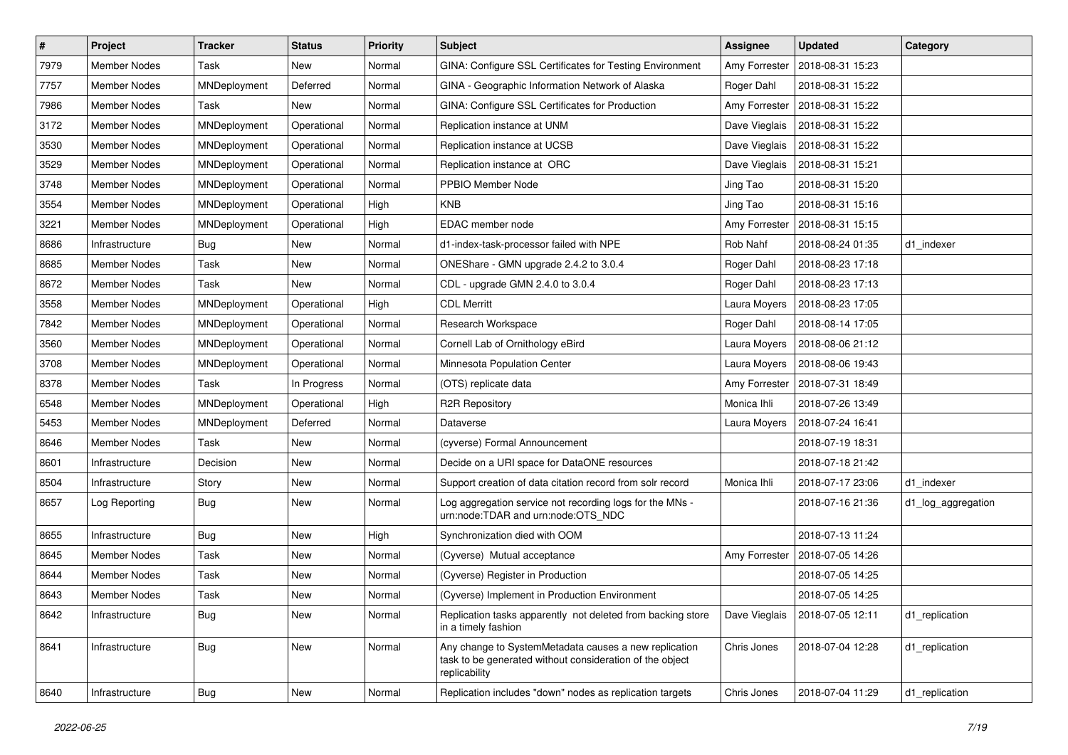| $\vert$ # | Project             | <b>Tracker</b> | <b>Status</b> | <b>Priority</b> | Subject                                                                                                                            | <b>Assignee</b> | <b>Updated</b>   | Category           |
|-----------|---------------------|----------------|---------------|-----------------|------------------------------------------------------------------------------------------------------------------------------------|-----------------|------------------|--------------------|
| 7979      | <b>Member Nodes</b> | Task           | New           | Normal          | GINA: Configure SSL Certificates for Testing Environment                                                                           | Amy Forrester   | 2018-08-31 15:23 |                    |
| 7757      | <b>Member Nodes</b> | MNDeployment   | Deferred      | Normal          | GINA - Geographic Information Network of Alaska                                                                                    | Roger Dahl      | 2018-08-31 15:22 |                    |
| 7986      | Member Nodes        | Task           | New           | Normal          | GINA: Configure SSL Certificates for Production                                                                                    | Amy Forrester   | 2018-08-31 15:22 |                    |
| 3172      | Member Nodes        | MNDeployment   | Operational   | Normal          | Replication instance at UNM                                                                                                        | Dave Vieglais   | 2018-08-31 15:22 |                    |
| 3530      | <b>Member Nodes</b> | MNDeployment   | Operational   | Normal          | Replication instance at UCSB                                                                                                       | Dave Vieglais   | 2018-08-31 15:22 |                    |
| 3529      | <b>Member Nodes</b> | MNDeployment   | Operational   | Normal          | Replication instance at ORC                                                                                                        | Dave Vieglais   | 2018-08-31 15:21 |                    |
| 3748      | <b>Member Nodes</b> | MNDeployment   | Operational   | Normal          | PPBIO Member Node                                                                                                                  | Jing Tao        | 2018-08-31 15:20 |                    |
| 3554      | <b>Member Nodes</b> | MNDeployment   | Operational   | High            | <b>KNB</b>                                                                                                                         | Jing Tao        | 2018-08-31 15:16 |                    |
| 3221      | Member Nodes        | MNDeployment   | Operational   | High            | EDAC member node                                                                                                                   | Amy Forrester   | 2018-08-31 15:15 |                    |
| 8686      | Infrastructure      | Bug            | New           | Normal          | d1-index-task-processor failed with NPE                                                                                            | Rob Nahf        | 2018-08-24 01:35 | d1 indexer         |
| 8685      | Member Nodes        | Task           | New           | Normal          | ONEShare - GMN upgrade 2.4.2 to 3.0.4                                                                                              | Roger Dahl      | 2018-08-23 17:18 |                    |
| 8672      | <b>Member Nodes</b> | Task           | New           | Normal          | CDL - upgrade GMN 2.4.0 to 3.0.4                                                                                                   | Roger Dahl      | 2018-08-23 17:13 |                    |
| 3558      | <b>Member Nodes</b> | MNDeployment   | Operational   | High            | <b>CDL Merritt</b>                                                                                                                 | Laura Moyers    | 2018-08-23 17:05 |                    |
| 7842      | <b>Member Nodes</b> | MNDeployment   | Operational   | Normal          | Research Workspace                                                                                                                 | Roger Dahl      | 2018-08-14 17:05 |                    |
| 3560      | <b>Member Nodes</b> | MNDeployment   | Operational   | Normal          | Cornell Lab of Ornithology eBird                                                                                                   | Laura Moyers    | 2018-08-06 21:12 |                    |
| 3708      | Member Nodes        | MNDeployment   | Operational   | Normal          | Minnesota Population Center                                                                                                        | Laura Moyers    | 2018-08-06 19:43 |                    |
| 8378      | <b>Member Nodes</b> | Task           | In Progress   | Normal          | (OTS) replicate data                                                                                                               | Amy Forrester   | 2018-07-31 18:49 |                    |
| 6548      | Member Nodes        | MNDeployment   | Operational   | High            | <b>R2R Repository</b>                                                                                                              | Monica Ihli     | 2018-07-26 13:49 |                    |
| 5453      | <b>Member Nodes</b> | MNDeployment   | Deferred      | Normal          | Dataverse                                                                                                                          | Laura Moyers    | 2018-07-24 16:41 |                    |
| 8646      | <b>Member Nodes</b> | Task           | New           | Normal          | (cyverse) Formal Announcement                                                                                                      |                 | 2018-07-19 18:31 |                    |
| 8601      | Infrastructure      | Decision       | New           | Normal          | Decide on a URI space for DataONE resources                                                                                        |                 | 2018-07-18 21:42 |                    |
| 8504      | Infrastructure      | Story          | New           | Normal          | Support creation of data citation record from solr record                                                                          | Monica Ihli     | 2018-07-17 23:06 | d1 indexer         |
| 8657      | Log Reporting       | <b>Bug</b>     | New           | Normal          | Log aggregation service not recording logs for the MNs -<br>urn:node:TDAR and urn:node:OTS_NDC                                     |                 | 2018-07-16 21:36 | d1_log_aggregation |
| 8655      | Infrastructure      | <b>Bug</b>     | New           | High            | Synchronization died with OOM                                                                                                      |                 | 2018-07-13 11:24 |                    |
| 8645      | Member Nodes        | Task           | New           | Normal          | (Cyverse) Mutual acceptance                                                                                                        | Amy Forrester   | 2018-07-05 14:26 |                    |
| 8644      | <b>Member Nodes</b> | Task           | New           | Normal          | (Cyverse) Register in Production                                                                                                   |                 | 2018-07-05 14:25 |                    |
| 8643      | Member Nodes        | Task           | New           | Normal          | (Cyverse) Implement in Production Environment                                                                                      |                 | 2018-07-05 14:25 |                    |
| 8642      | Infrastructure      | Bug            | New           | Normal          | Replication tasks apparently not deleted from backing store<br>in a timely fashion                                                 | Dave Vieglais   | 2018-07-05 12:11 | d1_replication     |
| 8641      | Infrastructure      | <b>Bug</b>     | New           | Normal          | Any change to SystemMetadata causes a new replication<br>task to be generated without consideration of the object<br>replicability | Chris Jones     | 2018-07-04 12:28 | d1_replication     |
| 8640      | Infrastructure      | <b>Bug</b>     | New           | Normal          | Replication includes "down" nodes as replication targets                                                                           | Chris Jones     | 2018-07-04 11:29 | d1_replication     |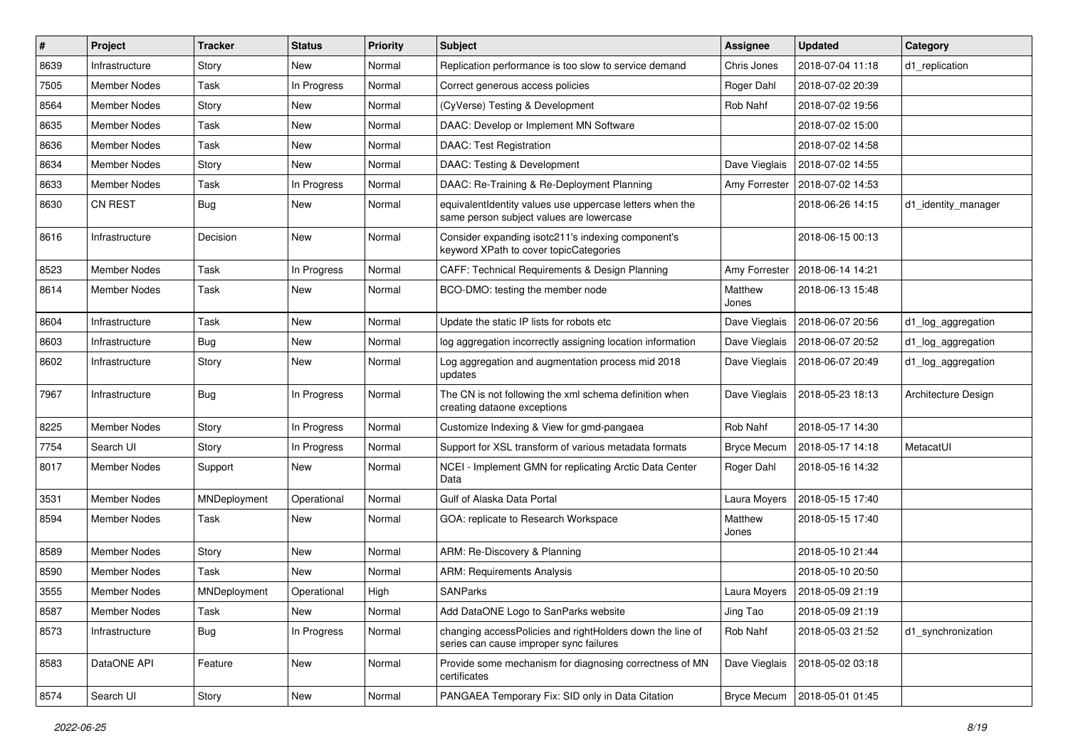| #    | Project             | <b>Tracker</b> | <b>Status</b> | <b>Priority</b> | <b>Subject</b>                                                                                       | Assignee           | <b>Updated</b>                   | Category            |
|------|---------------------|----------------|---------------|-----------------|------------------------------------------------------------------------------------------------------|--------------------|----------------------------------|---------------------|
| 8639 | Infrastructure      | Story          | New           | Normal          | Replication performance is too slow to service demand                                                | Chris Jones        | 2018-07-04 11:18                 | d1_replication      |
| 7505 | <b>Member Nodes</b> | Task           | In Progress   | Normal          | Correct generous access policies                                                                     | Roger Dahl         | 2018-07-02 20:39                 |                     |
| 8564 | Member Nodes        | Story          | New           | Normal          | (CyVerse) Testing & Development                                                                      | Rob Nahf           | 2018-07-02 19:56                 |                     |
| 8635 | Member Nodes        | Task           | New           | Normal          | DAAC: Develop or Implement MN Software                                                               |                    | 2018-07-02 15:00                 |                     |
| 8636 | Member Nodes        | Task           | New           | Normal          | DAAC: Test Registration                                                                              |                    | 2018-07-02 14:58                 |                     |
| 8634 | <b>Member Nodes</b> | Story          | New           | Normal          | DAAC: Testing & Development                                                                          | Dave Vieglais      | 2018-07-02 14:55                 |                     |
| 8633 | <b>Member Nodes</b> | Task           | In Progress   | Normal          | DAAC: Re-Training & Re-Deployment Planning                                                           | Amy Forrester      | 2018-07-02 14:53                 |                     |
| 8630 | <b>CN REST</b>      | Bug            | New           | Normal          | equivalentIdentity values use uppercase letters when the<br>same person subject values are lowercase |                    | 2018-06-26 14:15                 | d1_identity_manager |
| 8616 | Infrastructure      | Decision       | New           | Normal          | Consider expanding isotc211's indexing component's<br>keyword XPath to cover topicCategories         |                    | 2018-06-15 00:13                 |                     |
| 8523 | <b>Member Nodes</b> | Task           | In Progress   | Normal          | CAFF: Technical Requirements & Design Planning                                                       |                    | Amy Forrester   2018-06-14 14:21 |                     |
| 8614 | Member Nodes        | Task           | New           | Normal          | BCO-DMO: testing the member node                                                                     | Matthew<br>Jones   | 2018-06-13 15:48                 |                     |
| 8604 | Infrastructure      | Task           | New           | Normal          | Update the static IP lists for robots etc                                                            | Dave Vieglais      | 2018-06-07 20:56                 | d1_log_aggregation  |
| 8603 | Infrastructure      | Bug            | New           | Normal          | log aggregation incorrectly assigning location information                                           | Dave Vieglais      | 2018-06-07 20:52                 | d1_log_aggregation  |
| 8602 | Infrastructure      | Story          | New           | Normal          | Log aggregation and augmentation process mid 2018<br>updates                                         | Dave Vieglais      | 2018-06-07 20:49                 | d1_log_aggregation  |
| 7967 | Infrastructure      | Bug            | In Progress   | Normal          | The CN is not following the xml schema definition when<br>creating dataone exceptions                | Dave Vieglais      | 2018-05-23 18:13                 | Architecture Design |
| 8225 | <b>Member Nodes</b> | Story          | In Progress   | Normal          | Customize Indexing & View for gmd-pangaea                                                            | Rob Nahf           | 2018-05-17 14:30                 |                     |
| 7754 | Search UI           | Story          | In Progress   | Normal          | Support for XSL transform of various metadata formats                                                | <b>Bryce Mecum</b> | 2018-05-17 14:18                 | MetacatUI           |
| 8017 | Member Nodes        | Support        | New           | Normal          | NCEI - Implement GMN for replicating Arctic Data Center<br>Data                                      | Roger Dahl         | 2018-05-16 14:32                 |                     |
| 3531 | <b>Member Nodes</b> | MNDeployment   | Operational   | Normal          | Gulf of Alaska Data Portal                                                                           | Laura Moyers       | 2018-05-15 17:40                 |                     |
| 8594 | Member Nodes        | Task           | New           | Normal          | GOA: replicate to Research Workspace                                                                 | Matthew<br>Jones   | 2018-05-15 17:40                 |                     |
| 8589 | <b>Member Nodes</b> | Story          | New           | Normal          | ARM: Re-Discovery & Planning                                                                         |                    | 2018-05-10 21:44                 |                     |
| 8590 | <b>Member Nodes</b> | Task           | New           | Normal          | <b>ARM: Requirements Analysis</b>                                                                    |                    | 2018-05-10 20:50                 |                     |
| 3555 | Member Nodes        | MNDeployment   | Operational   | High            | <b>SANParks</b>                                                                                      | Laura Moyers       | 2018-05-09 21:19                 |                     |
| 8587 | Member Nodes        | Task           | New           | Normal          | Add DataONE Logo to SanParks website                                                                 | Jing Tao           | 2018-05-09 21:19                 |                     |
| 8573 | Infrastructure      | <b>Bug</b>     | In Progress   | Normal          | changing accessPolicies and rightHolders down the line of<br>series can cause improper sync failures | Rob Nahf           | 2018-05-03 21:52                 | d1 synchronization  |
| 8583 | DataONE API         | Feature        | New           | Normal          | Provide some mechanism for diagnosing correctness of MN<br>certificates                              | Dave Vieglais      | 2018-05-02 03:18                 |                     |
| 8574 | Search UI           | Story          | New           | Normal          | PANGAEA Temporary Fix: SID only in Data Citation                                                     | <b>Bryce Mecum</b> | 2018-05-01 01:45                 |                     |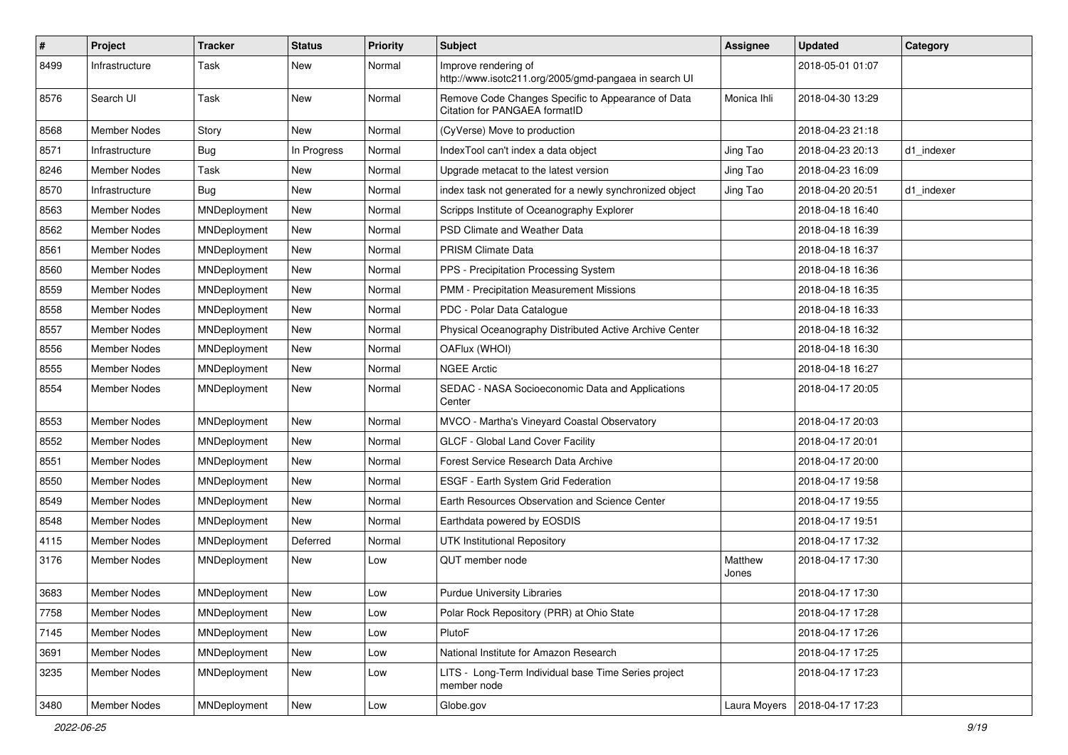| $\sharp$ | Project             | <b>Tracker</b> | <b>Status</b> | <b>Priority</b> | <b>Subject</b>                                                                      | <b>Assignee</b>  | <b>Updated</b>   | Category   |
|----------|---------------------|----------------|---------------|-----------------|-------------------------------------------------------------------------------------|------------------|------------------|------------|
| 8499     | Infrastructure      | Task           | New           | Normal          | Improve rendering of<br>http://www.isotc211.org/2005/gmd-pangaea in search UI       |                  | 2018-05-01 01:07 |            |
| 8576     | Search UI           | Task           | New           | Normal          | Remove Code Changes Specific to Appearance of Data<br>Citation for PANGAEA formatID | Monica Ihli      | 2018-04-30 13:29 |            |
| 8568     | <b>Member Nodes</b> | Story          | <b>New</b>    | Normal          | (CyVerse) Move to production                                                        |                  | 2018-04-23 21:18 |            |
| 8571     | Infrastructure      | Bug            | In Progress   | Normal          | IndexTool can't index a data object                                                 | Jing Tao         | 2018-04-23 20:13 | d1 indexer |
| 8246     | <b>Member Nodes</b> | Task           | New           | Normal          | Upgrade metacat to the latest version                                               | Jing Tao         | 2018-04-23 16:09 |            |
| 8570     | Infrastructure      | <b>Bug</b>     | New           | Normal          | index task not generated for a newly synchronized object                            | Jing Tao         | 2018-04-20 20:51 | d1 indexer |
| 8563     | Member Nodes        | MNDeployment   | New           | Normal          | Scripps Institute of Oceanography Explorer                                          |                  | 2018-04-18 16:40 |            |
| 8562     | <b>Member Nodes</b> | MNDeployment   | New           | Normal          | PSD Climate and Weather Data                                                        |                  | 2018-04-18 16:39 |            |
| 8561     | Member Nodes        | MNDeployment   | New           | Normal          | <b>PRISM Climate Data</b>                                                           |                  | 2018-04-18 16:37 |            |
| 8560     | <b>Member Nodes</b> | MNDeployment   | New           | Normal          | PPS - Precipitation Processing System                                               |                  | 2018-04-18 16:36 |            |
| 8559     | <b>Member Nodes</b> | MNDeployment   | New           | Normal          | PMM - Precipitation Measurement Missions                                            |                  | 2018-04-18 16:35 |            |
| 8558     | Member Nodes        | MNDeployment   | New           | Normal          | PDC - Polar Data Catalogue                                                          |                  | 2018-04-18 16:33 |            |
| 8557     | <b>Member Nodes</b> | MNDeployment   | New           | Normal          | Physical Oceanography Distributed Active Archive Center                             |                  | 2018-04-18 16:32 |            |
| 8556     | Member Nodes        | MNDeployment   | New           | Normal          | OAFlux (WHOI)                                                                       |                  | 2018-04-18 16:30 |            |
| 8555     | Member Nodes        | MNDeployment   | New           | Normal          | <b>NGEE Arctic</b>                                                                  |                  | 2018-04-18 16:27 |            |
| 8554     | Member Nodes        | MNDeployment   | New           | Normal          | SEDAC - NASA Socioeconomic Data and Applications<br>Center                          |                  | 2018-04-17 20:05 |            |
| 8553     | <b>Member Nodes</b> | MNDeployment   | New           | Normal          | MVCO - Martha's Vineyard Coastal Observatory                                        |                  | 2018-04-17 20:03 |            |
| 8552     | Member Nodes        | MNDeployment   | New           | Normal          | GLCF - Global Land Cover Facility                                                   |                  | 2018-04-17 20:01 |            |
| 8551     | Member Nodes        | MNDeployment   | New           | Normal          | Forest Service Research Data Archive                                                |                  | 2018-04-17 20:00 |            |
| 8550     | <b>Member Nodes</b> | MNDeployment   | New           | Normal          | ESGF - Earth System Grid Federation                                                 |                  | 2018-04-17 19:58 |            |
| 8549     | Member Nodes        | MNDeployment   | New           | Normal          | Earth Resources Observation and Science Center                                      |                  | 2018-04-17 19:55 |            |
| 8548     | Member Nodes        | MNDeployment   | New           | Normal          | Earthdata powered by EOSDIS                                                         |                  | 2018-04-17 19:51 |            |
| 4115     | Member Nodes        | MNDeployment   | Deferred      | Normal          | <b>UTK Institutional Repository</b>                                                 |                  | 2018-04-17 17:32 |            |
| 3176     | Member Nodes        | MNDeployment   | New           | Low             | QUT member node                                                                     | Matthew<br>Jones | 2018-04-17 17:30 |            |
| 3683     | Member Nodes        | MNDeployment   | New           | Low             | <b>Purdue University Libraries</b>                                                  |                  | 2018-04-17 17:30 |            |
| 7758     | Member Nodes        | MNDeployment   | New           | Low             | Polar Rock Repository (PRR) at Ohio State                                           |                  | 2018-04-17 17:28 |            |
| 7145     | Member Nodes        | MNDeployment   | New           | Low             | PlutoF                                                                              |                  | 2018-04-17 17:26 |            |
| 3691     | Member Nodes        | MNDeployment   | New           | Low             | National Institute for Amazon Research                                              |                  | 2018-04-17 17:25 |            |
| 3235     | Member Nodes        | MNDeployment   | New           | Low             | LITS - Long-Term Individual base Time Series project<br>member node                 |                  | 2018-04-17 17:23 |            |
| 3480     | <b>Member Nodes</b> | MNDeployment   | New           | Low             | Globe.gov                                                                           | Laura Moyers     | 2018-04-17 17:23 |            |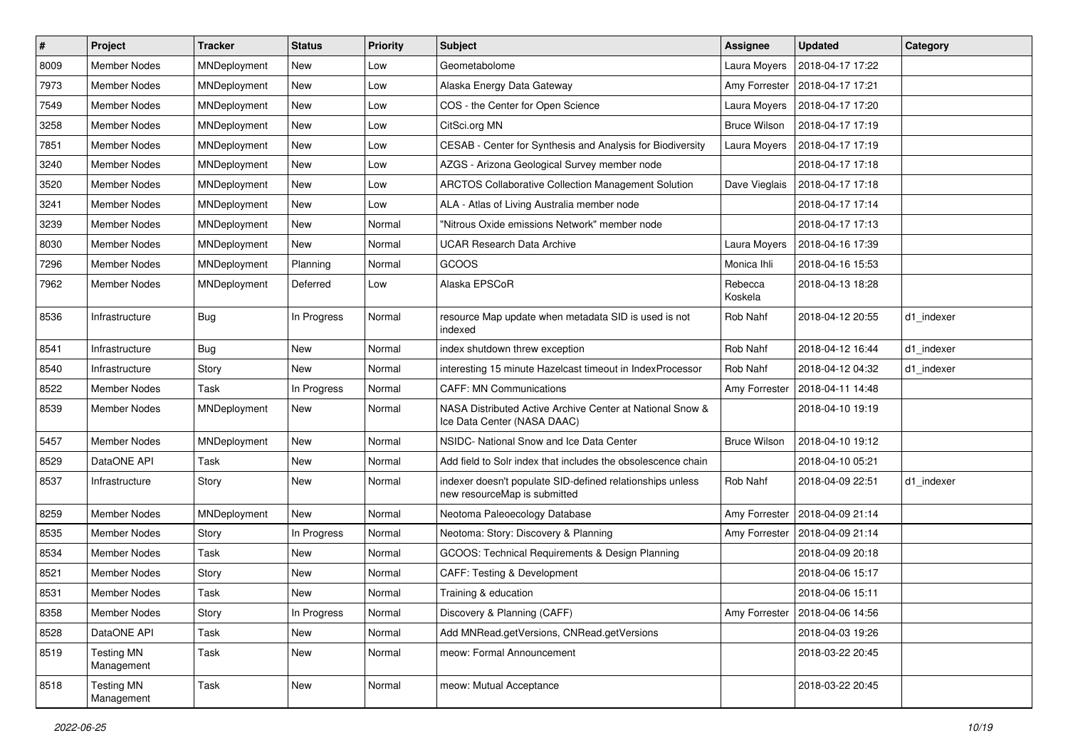| $\sharp$ | Project                         | <b>Tracker</b> | <b>Status</b> | <b>Priority</b> | Subject                                                                                   | Assignee            | <b>Updated</b>   | Category   |
|----------|---------------------------------|----------------|---------------|-----------------|-------------------------------------------------------------------------------------------|---------------------|------------------|------------|
| 8009     | <b>Member Nodes</b>             | MNDeployment   | New           | Low             | Geometabolome                                                                             | Laura Moyers        | 2018-04-17 17:22 |            |
| 7973     | <b>Member Nodes</b>             | MNDeployment   | New           | Low             | Alaska Energy Data Gateway                                                                | Amy Forrester       | 2018-04-17 17:21 |            |
| 7549     | Member Nodes                    | MNDeployment   | New           | Low             | COS - the Center for Open Science                                                         | Laura Moyers        | 2018-04-17 17:20 |            |
| 3258     | Member Nodes                    | MNDeployment   | New           | Low             | CitSci.org MN                                                                             | <b>Bruce Wilson</b> | 2018-04-17 17:19 |            |
| 7851     | <b>Member Nodes</b>             | MNDeployment   | New           | Low             | CESAB - Center for Synthesis and Analysis for Biodiversity                                | Laura Moyers        | 2018-04-17 17:19 |            |
| 3240     | Member Nodes                    | MNDeployment   | New           | Low             | AZGS - Arizona Geological Survey member node                                              |                     | 2018-04-17 17:18 |            |
| 3520     | <b>Member Nodes</b>             | MNDeployment   | New           | Low             | <b>ARCTOS Collaborative Collection Management Solution</b>                                | Dave Vieglais       | 2018-04-17 17:18 |            |
| 3241     | <b>Member Nodes</b>             | MNDeployment   | New           | Low             | ALA - Atlas of Living Australia member node                                               |                     | 2018-04-17 17:14 |            |
| 3239     | Member Nodes                    | MNDeployment   | New           | Normal          | "Nitrous Oxide emissions Network" member node                                             |                     | 2018-04-17 17:13 |            |
| 8030     | <b>Member Nodes</b>             | MNDeployment   | New           | Normal          | <b>UCAR Research Data Archive</b>                                                         | Laura Moyers        | 2018-04-16 17:39 |            |
| 7296     | Member Nodes                    | MNDeployment   | Planning      | Normal          | GCOOS                                                                                     | Monica Ihli         | 2018-04-16 15:53 |            |
| 7962     | <b>Member Nodes</b>             | MNDeployment   | Deferred      | Low             | Alaska EPSCoR                                                                             | Rebecca<br>Koskela  | 2018-04-13 18:28 |            |
| 8536     | Infrastructure                  | <b>Bug</b>     | In Progress   | Normal          | resource Map update when metadata SID is used is not<br>indexed                           | Rob Nahf            | 2018-04-12 20:55 | d1_indexer |
| 8541     | Infrastructure                  | <b>Bug</b>     | New           | Normal          | index shutdown threw exception                                                            | Rob Nahf            | 2018-04-12 16:44 | d1_indexer |
| 8540     | Infrastructure                  | Story          | New           | Normal          | interesting 15 minute Hazelcast timeout in IndexProcessor                                 | Rob Nahf            | 2018-04-12 04:32 | d1 indexer |
| 8522     | Member Nodes                    | Task           | In Progress   | Normal          | <b>CAFF: MN Communications</b>                                                            | Amy Forrester       | 2018-04-11 14:48 |            |
| 8539     | Member Nodes                    | MNDeployment   | New           | Normal          | NASA Distributed Active Archive Center at National Snow &<br>Ice Data Center (NASA DAAC)  |                     | 2018-04-10 19:19 |            |
| 5457     | <b>Member Nodes</b>             | MNDeployment   | New           | Normal          | NSIDC- National Snow and Ice Data Center                                                  | <b>Bruce Wilson</b> | 2018-04-10 19:12 |            |
| 8529     | DataONE API                     | Task           | New           | Normal          | Add field to Solr index that includes the obsolescence chain                              |                     | 2018-04-10 05:21 |            |
| 8537     | Infrastructure                  | Story          | New           | Normal          | indexer doesn't populate SID-defined relationships unless<br>new resourceMap is submitted | Rob Nahf            | 2018-04-09 22:51 | d1 indexer |
| 8259     | <b>Member Nodes</b>             | MNDeployment   | <b>New</b>    | Normal          | Neotoma Paleoecology Database                                                             | Amy Forrester       | 2018-04-09 21:14 |            |
| 8535     | <b>Member Nodes</b>             | Story          | In Progress   | Normal          | Neotoma: Story: Discovery & Planning                                                      | Amy Forrester       | 2018-04-09 21:14 |            |
| 8534     | Member Nodes                    | Task           | New           | Normal          | GCOOS: Technical Requirements & Design Planning                                           |                     | 2018-04-09 20:18 |            |
| 8521     | Member Nodes                    | Story          | New           | Normal          | CAFF: Testing & Development                                                               |                     | 2018-04-06 15:17 |            |
| 8531     | <b>Member Nodes</b>             | Task           | New           | Normal          | Training & education                                                                      |                     | 2018-04-06 15:11 |            |
| 8358     | Member Nodes                    | Story          | In Progress   | Normal          | Discovery & Planning (CAFF)                                                               | Amy Forrester       | 2018-04-06 14:56 |            |
| 8528     | DataONE API                     | Task           | New           | Normal          | Add MNRead.getVersions, CNRead.getVersions                                                |                     | 2018-04-03 19:26 |            |
| 8519     | <b>Testing MN</b><br>Management | Task           | New           | Normal          | meow: Formal Announcement                                                                 |                     | 2018-03-22 20:45 |            |
| 8518     | <b>Testing MN</b><br>Management | Task           | New           | Normal          | meow: Mutual Acceptance                                                                   |                     | 2018-03-22 20:45 |            |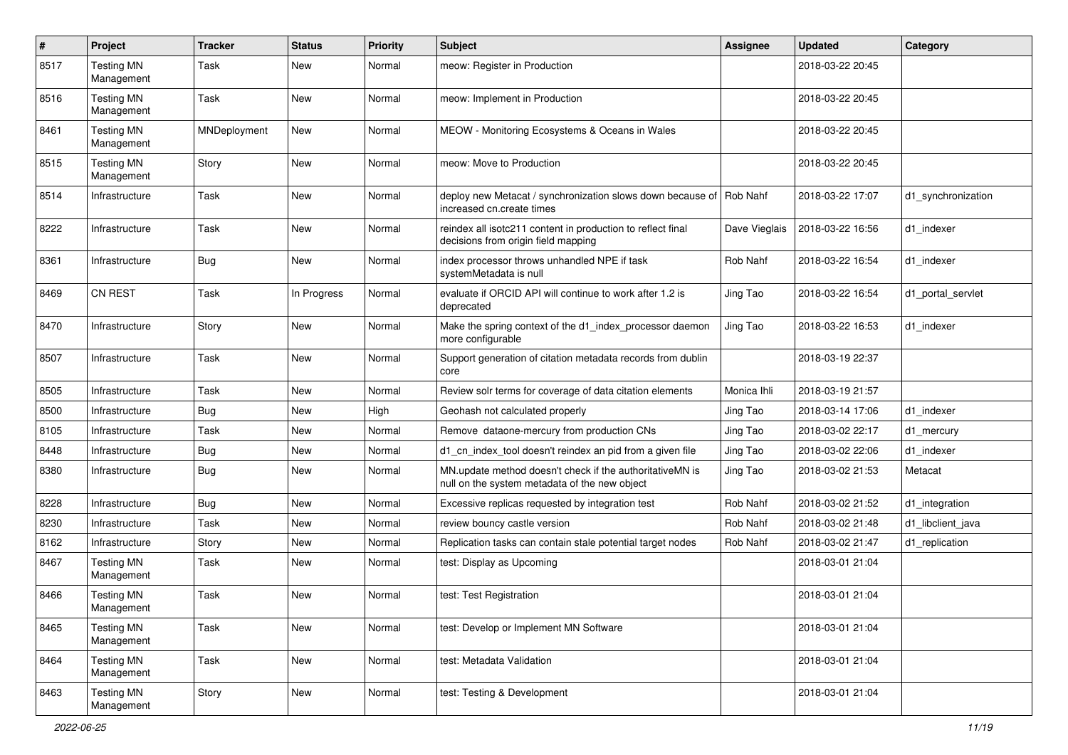| $\#$ | Project                         | <b>Tracker</b> | <b>Status</b> | <b>Priority</b> | <b>Subject</b>                                                                                            | <b>Assignee</b> | <b>Updated</b>   | Category           |
|------|---------------------------------|----------------|---------------|-----------------|-----------------------------------------------------------------------------------------------------------|-----------------|------------------|--------------------|
| 8517 | <b>Testing MN</b><br>Management | Task           | New           | Normal          | meow: Register in Production                                                                              |                 | 2018-03-22 20:45 |                    |
| 8516 | <b>Testing MN</b><br>Management | Task           | New           | Normal          | meow: Implement in Production                                                                             |                 | 2018-03-22 20:45 |                    |
| 8461 | <b>Testing MN</b><br>Management | MNDeployment   | New           | Normal          | MEOW - Monitoring Ecosystems & Oceans in Wales                                                            |                 | 2018-03-22 20:45 |                    |
| 8515 | <b>Testing MN</b><br>Management | Story          | New           | Normal          | meow: Move to Production                                                                                  |                 | 2018-03-22 20:45 |                    |
| 8514 | Infrastructure                  | Task           | New           | Normal          | deploy new Metacat / synchronization slows down because of Rob Nahf<br>increased cn.create times          |                 | 2018-03-22 17:07 | d1 synchronization |
| 8222 | Infrastructure                  | Task           | New           | Normal          | reindex all isotc211 content in production to reflect final<br>decisions from origin field mapping        | Dave Vieglais   | 2018-03-22 16:56 | d1_indexer         |
| 8361 | Infrastructure                  | <b>Bug</b>     | New           | Normal          | index processor throws unhandled NPE if task<br>systemMetadata is null                                    | Rob Nahf        | 2018-03-22 16:54 | d1_indexer         |
| 8469 | CN REST                         | Task           | In Progress   | Normal          | evaluate if ORCID API will continue to work after 1.2 is<br>deprecated                                    | Jing Tao        | 2018-03-22 16:54 | d1 portal servlet  |
| 8470 | Infrastructure                  | Story          | New           | Normal          | Make the spring context of the d1 index processor daemon<br>more configurable                             | Jing Tao        | 2018-03-22 16:53 | d1 indexer         |
| 8507 | Infrastructure                  | Task           | New           | Normal          | Support generation of citation metadata records from dublin<br>core                                       |                 | 2018-03-19 22:37 |                    |
| 8505 | Infrastructure                  | Task           | New           | Normal          | Review solr terms for coverage of data citation elements                                                  | Monica Ihli     | 2018-03-19 21:57 |                    |
| 8500 | Infrastructure                  | Bug            | New           | High            | Geohash not calculated properly                                                                           | Jing Tao        | 2018-03-14 17:06 | d1 indexer         |
| 8105 | Infrastructure                  | Task           | New           | Normal          | Remove dataone-mercury from production CNs                                                                | Jing Tao        | 2018-03-02 22:17 | d1 mercury         |
| 8448 | Infrastructure                  | Bug            | New           | Normal          | d1_cn_index_tool doesn't reindex an pid from a given file                                                 | Jing Tao        | 2018-03-02 22:06 | d1 indexer         |
| 8380 | Infrastructure                  | <b>Bug</b>     | New           | Normal          | MN.update method doesn't check if the authoritativeMN is<br>null on the system metadata of the new object | Jing Tao        | 2018-03-02 21:53 | Metacat            |
| 8228 | Infrastructure                  | <b>Bug</b>     | New           | Normal          | Excessive replicas requested by integration test                                                          | Rob Nahf        | 2018-03-02 21:52 | d1 integration     |
| 8230 | Infrastructure                  | Task           | New           | Normal          | review bouncy castle version                                                                              | Rob Nahf        | 2018-03-02 21:48 | d1 libclient java  |
| 8162 | Infrastructure                  | Story          | New           | Normal          | Replication tasks can contain stale potential target nodes                                                | Rob Nahf        | 2018-03-02 21:47 | d1 replication     |
| 8467 | <b>Testing MN</b><br>Management | Task           | New           | Normal          | test: Display as Upcoming                                                                                 |                 | 2018-03-01 21:04 |                    |
| 8466 | <b>Testing MN</b><br>Management | Task           | New           | Normal          | test: Test Registration                                                                                   |                 | 2018-03-01 21:04 |                    |
| 8465 | <b>Testing MN</b><br>Management | Task           | New           | Normal          | test: Develop or Implement MN Software                                                                    |                 | 2018-03-01 21:04 |                    |
| 8464 | <b>Testing MN</b><br>Management | Task           | New           | Normal          | test: Metadata Validation                                                                                 |                 | 2018-03-01 21:04 |                    |
| 8463 | <b>Testing MN</b><br>Management | Story          | New           | Normal          | test: Testing & Development                                                                               |                 | 2018-03-01 21:04 |                    |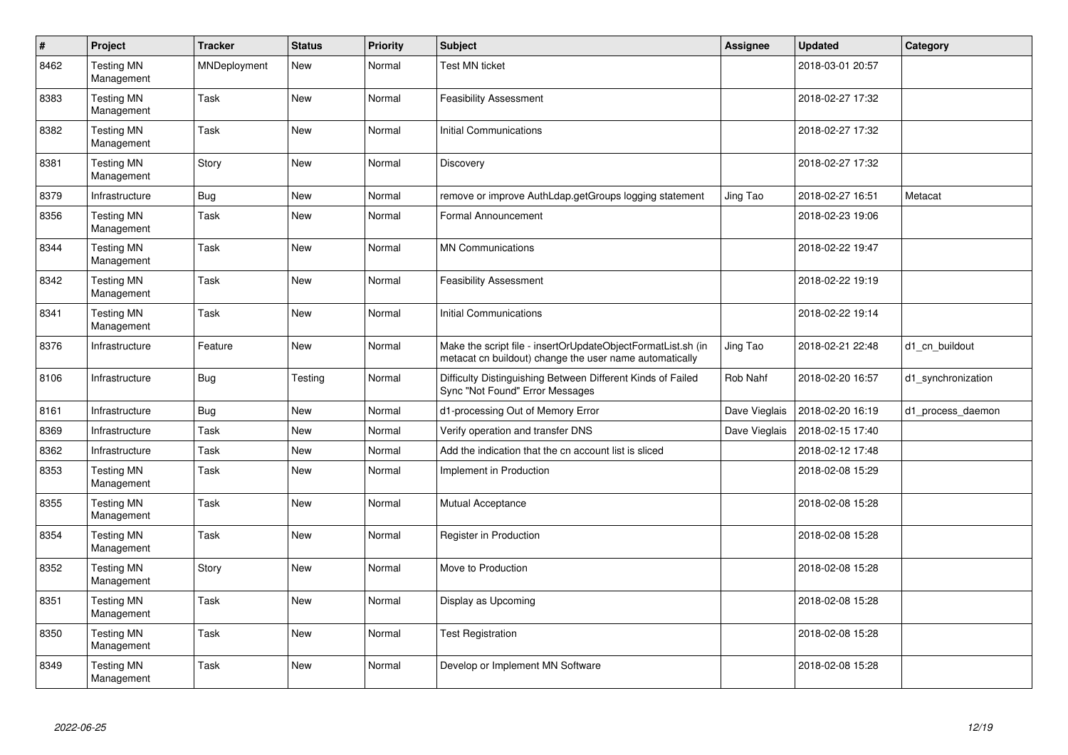| $\sharp$ | Project                         | <b>Tracker</b> | <b>Status</b> | Priority | <b>Subject</b>                                                                                                          | Assignee      | <b>Updated</b>   | Category           |
|----------|---------------------------------|----------------|---------------|----------|-------------------------------------------------------------------------------------------------------------------------|---------------|------------------|--------------------|
| 8462     | <b>Testing MN</b><br>Management | MNDeployment   | New           | Normal   | Test MN ticket                                                                                                          |               | 2018-03-01 20:57 |                    |
| 8383     | <b>Testing MN</b><br>Management | Task           | <b>New</b>    | Normal   | <b>Feasibility Assessment</b>                                                                                           |               | 2018-02-27 17:32 |                    |
| 8382     | <b>Testing MN</b><br>Management | Task           | New           | Normal   | Initial Communications                                                                                                  |               | 2018-02-27 17:32 |                    |
| 8381     | <b>Testing MN</b><br>Management | Story          | New           | Normal   | Discovery                                                                                                               |               | 2018-02-27 17:32 |                    |
| 8379     | Infrastructure                  | <b>Bug</b>     | New           | Normal   | remove or improve AuthLdap.getGroups logging statement                                                                  | Jing Tao      | 2018-02-27 16:51 | Metacat            |
| 8356     | <b>Testing MN</b><br>Management | Task           | New           | Normal   | Formal Announcement                                                                                                     |               | 2018-02-23 19:06 |                    |
| 8344     | <b>Testing MN</b><br>Management | Task           | New           | Normal   | <b>MN Communications</b>                                                                                                |               | 2018-02-22 19:47 |                    |
| 8342     | <b>Testing MN</b><br>Management | Task           | <b>New</b>    | Normal   | <b>Feasibility Assessment</b>                                                                                           |               | 2018-02-22 19:19 |                    |
| 8341     | <b>Testing MN</b><br>Management | Task           | New           | Normal   | Initial Communications                                                                                                  |               | 2018-02-22 19:14 |                    |
| 8376     | Infrastructure                  | Feature        | New           | Normal   | Make the script file - insertOrUpdateObjectFormatList.sh (in<br>metacat cn buildout) change the user name automatically | Jing Tao      | 2018-02-21 22:48 | d1 cn buildout     |
| 8106     | Infrastructure                  | <b>Bug</b>     | Testing       | Normal   | Difficulty Distinguishing Between Different Kinds of Failed<br>Sync "Not Found" Error Messages                          | Rob Nahf      | 2018-02-20 16:57 | d1_synchronization |
| 8161     | Infrastructure                  | <b>Bug</b>     | New           | Normal   | d1-processing Out of Memory Error                                                                                       | Dave Vieglais | 2018-02-20 16:19 | d1 process daemon  |
| 8369     | Infrastructure                  | Task           | New           | Normal   | Verify operation and transfer DNS                                                                                       | Dave Vieglais | 2018-02-15 17:40 |                    |
| 8362     | Infrastructure                  | Task           | New           | Normal   | Add the indication that the cn account list is sliced                                                                   |               | 2018-02-12 17:48 |                    |
| 8353     | <b>Testing MN</b><br>Management | Task           | New           | Normal   | Implement in Production                                                                                                 |               | 2018-02-08 15:29 |                    |
| 8355     | <b>Testing MN</b><br>Management | Task           | New           | Normal   | <b>Mutual Acceptance</b>                                                                                                |               | 2018-02-08 15:28 |                    |
| 8354     | <b>Testing MN</b><br>Management | Task           | New           | Normal   | Register in Production                                                                                                  |               | 2018-02-08 15:28 |                    |
| 8352     | <b>Testing MN</b><br>Management | Story          | New           | Normal   | Move to Production                                                                                                      |               | 2018-02-08 15:28 |                    |
| 8351     | <b>Testing MN</b><br>Management | Task           | New           | Normal   | Display as Upcoming                                                                                                     |               | 2018-02-08 15:28 |                    |
| 8350     | <b>Testing MN</b><br>Management | Task           | New           | Normal   | <b>Test Registration</b>                                                                                                |               | 2018-02-08 15:28 |                    |
| 8349     | <b>Testing MN</b><br>Management | Task           | New           | Normal   | Develop or Implement MN Software                                                                                        |               | 2018-02-08 15:28 |                    |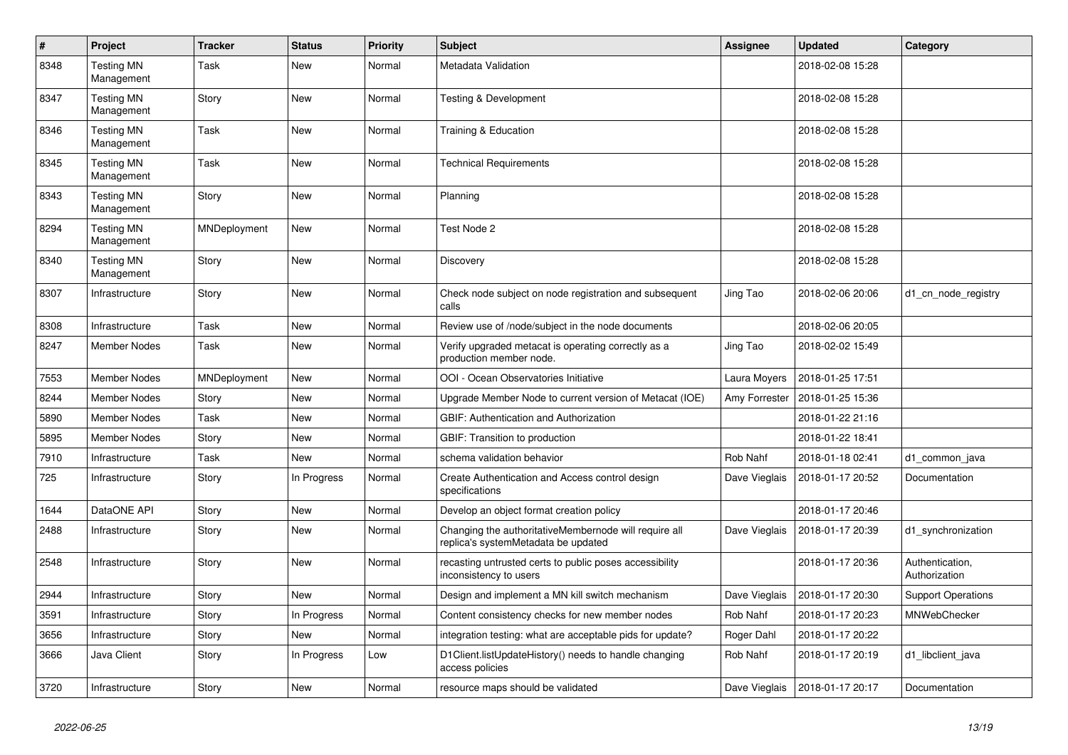| #    | Project                         | <b>Tracker</b> | <b>Status</b> | <b>Priority</b> | <b>Subject</b>                                                                               | Assignee      | <b>Updated</b>   | Category                         |
|------|---------------------------------|----------------|---------------|-----------------|----------------------------------------------------------------------------------------------|---------------|------------------|----------------------------------|
| 8348 | <b>Testing MN</b><br>Management | Task           | New           | Normal          | Metadata Validation                                                                          |               | 2018-02-08 15:28 |                                  |
| 8347 | <b>Testing MN</b><br>Management | Story          | New           | Normal          | Testing & Development                                                                        |               | 2018-02-08 15:28 |                                  |
| 8346 | <b>Testing MN</b><br>Management | Task           | New           | Normal          | Training & Education                                                                         |               | 2018-02-08 15:28 |                                  |
| 8345 | <b>Testing MN</b><br>Management | Task           | <b>New</b>    | Normal          | <b>Technical Requirements</b>                                                                |               | 2018-02-08 15:28 |                                  |
| 8343 | <b>Testing MN</b><br>Management | Story          | New           | Normal          | Planning                                                                                     |               | 2018-02-08 15:28 |                                  |
| 8294 | <b>Testing MN</b><br>Management | MNDeployment   | New           | Normal          | Test Node 2                                                                                  |               | 2018-02-08 15:28 |                                  |
| 8340 | <b>Testing MN</b><br>Management | Story          | New           | Normal          | Discovery                                                                                    |               | 2018-02-08 15:28 |                                  |
| 8307 | Infrastructure                  | Story          | New           | Normal          | Check node subject on node registration and subsequent<br>calls                              | Jing Tao      | 2018-02-06 20:06 | d1_cn_node_registry              |
| 8308 | Infrastructure                  | Task           | New           | Normal          | Review use of /node/subject in the node documents                                            |               | 2018-02-06 20:05 |                                  |
| 8247 | <b>Member Nodes</b>             | Task           | New           | Normal          | Verify upgraded metacat is operating correctly as a<br>production member node.               | Jing Tao      | 2018-02-02 15:49 |                                  |
| 7553 | <b>Member Nodes</b>             | MNDeployment   | New           | Normal          | OOI - Ocean Observatories Initiative                                                         | Laura Moyers  | 2018-01-25 17:51 |                                  |
| 8244 | Member Nodes                    | Story          | New           | Normal          | Upgrade Member Node to current version of Metacat (IOE)                                      | Amy Forrester | 2018-01-25 15:36 |                                  |
| 5890 | Member Nodes                    | Task           | New           | Normal          | <b>GBIF: Authentication and Authorization</b>                                                |               | 2018-01-22 21:16 |                                  |
| 5895 | <b>Member Nodes</b>             | Story          | <b>New</b>    | Normal          | GBIF: Transition to production                                                               |               | 2018-01-22 18:41 |                                  |
| 7910 | Infrastructure                  | Task           | <b>New</b>    | Normal          | schema validation behavior                                                                   | Rob Nahf      | 2018-01-18 02:41 | d1_common_java                   |
| 725  | Infrastructure                  | Story          | In Progress   | Normal          | Create Authentication and Access control design<br>specifications                            | Dave Vieglais | 2018-01-17 20:52 | Documentation                    |
| 1644 | DataONE API                     | Story          | New           | Normal          | Develop an object format creation policy                                                     |               | 2018-01-17 20:46 |                                  |
| 2488 | Infrastructure                  | Story          | <b>New</b>    | Normal          | Changing the authoritativeMembernode will require all<br>replica's systemMetadata be updated | Dave Vieglais | 2018-01-17 20:39 | d1_synchronization               |
| 2548 | Infrastructure                  | Story          | <b>New</b>    | Normal          | recasting untrusted certs to public poses accessibility<br>inconsistency to users            |               | 2018-01-17 20:36 | Authentication,<br>Authorization |
| 2944 | Infrastructure                  | Story          | New           | Normal          | Design and implement a MN kill switch mechanism                                              | Dave Vieglais | 2018-01-17 20:30 | <b>Support Operations</b>        |
| 3591 | Infrastructure                  | Story          | In Progress   | Normal          | Content consistency checks for new member nodes                                              | Rob Nahf      | 2018-01-17 20:23 | <b>MNWebChecker</b>              |
| 3656 | Infrastructure                  | Story          | New           | Normal          | integration testing: what are acceptable pids for update?                                    | Roger Dahl    | 2018-01-17 20:22 |                                  |
| 3666 | Java Client                     | Story          | In Progress   | Low             | D1Client.listUpdateHistory() needs to handle changing<br>access policies                     | Rob Nahf      | 2018-01-17 20:19 | d1 libclient java                |
| 3720 | Infrastructure                  | Story          | New           | Normal          | resource maps should be validated                                                            | Dave Vieglais | 2018-01-17 20:17 | Documentation                    |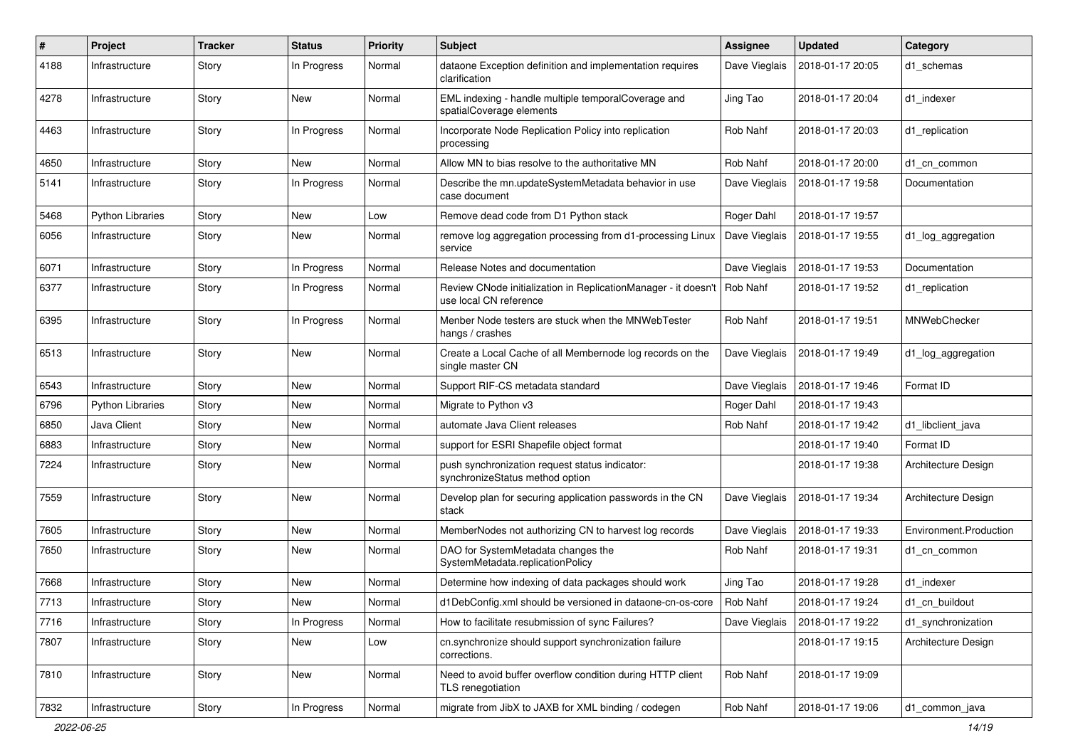| #    | Project                 | <b>Tracker</b> | <b>Status</b> | <b>Priority</b> | Subject                                                                                  | <b>Assignee</b> | <b>Updated</b>   | Category               |
|------|-------------------------|----------------|---------------|-----------------|------------------------------------------------------------------------------------------|-----------------|------------------|------------------------|
| 4188 | Infrastructure          | Story          | In Progress   | Normal          | dataone Exception definition and implementation requires<br>clarification                | Dave Vieglais   | 2018-01-17 20:05 | d1 schemas             |
| 4278 | Infrastructure          | Story          | New           | Normal          | EML indexing - handle multiple temporalCoverage and<br>spatialCoverage elements          | Jing Tao        | 2018-01-17 20:04 | d1 indexer             |
| 4463 | Infrastructure          | Story          | In Progress   | Normal          | Incorporate Node Replication Policy into replication<br>processing                       | Rob Nahf        | 2018-01-17 20:03 | d1 replication         |
| 4650 | Infrastructure          | Story          | New           | Normal          | Allow MN to bias resolve to the authoritative MN                                         | Rob Nahf        | 2018-01-17 20:00 | d1_cn_common           |
| 5141 | Infrastructure          | Story          | In Progress   | Normal          | Describe the mn.updateSystemMetadata behavior in use<br>case document                    | Dave Vieglais   | 2018-01-17 19:58 | Documentation          |
| 5468 | <b>Python Libraries</b> | Story          | New           | Low             | Remove dead code from D1 Python stack                                                    | Roger Dahl      | 2018-01-17 19:57 |                        |
| 6056 | Infrastructure          | Story          | New           | Normal          | remove log aggregation processing from d1-processing Linux<br>service                    | Dave Vieglais   | 2018-01-17 19:55 | d1_log_aggregation     |
| 6071 | Infrastructure          | Story          | In Progress   | Normal          | Release Notes and documentation                                                          | Dave Vieglais   | 2018-01-17 19:53 | Documentation          |
| 6377 | Infrastructure          | Story          | In Progress   | Normal          | Review CNode initialization in ReplicationManager - it doesn't<br>use local CN reference | Rob Nahf        | 2018-01-17 19:52 | d1 replication         |
| 6395 | Infrastructure          | Story          | In Progress   | Normal          | Menber Node testers are stuck when the MNWebTester<br>hangs / crashes                    | Rob Nahf        | 2018-01-17 19:51 | MNWebChecker           |
| 6513 | Infrastructure          | Story          | New           | Normal          | Create a Local Cache of all Membernode log records on the<br>single master CN            | Dave Vieglais   | 2018-01-17 19:49 | d1 log aggregation     |
| 6543 | Infrastructure          | Story          | New           | Normal          | Support RIF-CS metadata standard                                                         | Dave Vieglais   | 2018-01-17 19:46 | Format ID              |
| 6796 | Python Libraries        | Story          | New           | Normal          | Migrate to Python v3                                                                     | Roger Dahl      | 2018-01-17 19:43 |                        |
| 6850 | Java Client             | Story          | New           | Normal          | automate Java Client releases                                                            | Rob Nahf        | 2018-01-17 19:42 | d1_libclient_java      |
| 6883 | Infrastructure          | Story          | New           | Normal          | support for ESRI Shapefile object format                                                 |                 | 2018-01-17 19:40 | Format ID              |
| 7224 | Infrastructure          | Story          | New           | Normal          | push synchronization request status indicator:<br>synchronizeStatus method option        |                 | 2018-01-17 19:38 | Architecture Design    |
| 7559 | Infrastructure          | Story          | New           | Normal          | Develop plan for securing application passwords in the CN<br>stack                       | Dave Vieglais   | 2018-01-17 19:34 | Architecture Design    |
| 7605 | Infrastructure          | Story          | New           | Normal          | MemberNodes not authorizing CN to harvest log records                                    | Dave Vieglais   | 2018-01-17 19:33 | Environment.Production |
| 7650 | Infrastructure          | Story          | New           | Normal          | DAO for SystemMetadata changes the<br>SystemMetadata.replicationPolicy                   | Rob Nahf        | 2018-01-17 19:31 | d1 cn common           |
| 7668 | Infrastructure          | Story          | New           | Normal          | Determine how indexing of data packages should work                                      | Jing Tao        | 2018-01-17 19:28 | d1 indexer             |
| 7713 | Infrastructure          | Story          | New           | Normal          | d1DebConfig.xml should be versioned in dataone-cn-os-core                                | Rob Nahf        | 2018-01-17 19:24 | d1_cn_buildout         |
| 7716 | Infrastructure          | Story          | In Progress   | Normal          | How to facilitate resubmission of sync Failures?                                         | Dave Vieglais   | 2018-01-17 19:22 | d1 synchronization     |
| 7807 | Infrastructure          | Story          | New           | Low             | cn.synchronize should support synchronization failure<br>corrections.                    |                 | 2018-01-17 19:15 | Architecture Design    |
| 7810 | Infrastructure          | Story          | New           | Normal          | Need to avoid buffer overflow condition during HTTP client<br>TLS renegotiation          | Rob Nahf        | 2018-01-17 19:09 |                        |
| 7832 | Infrastructure          | Story          | In Progress   | Normal          | migrate from JibX to JAXB for XML binding / codegen                                      | Rob Nahf        | 2018-01-17 19:06 | d1_common_java         |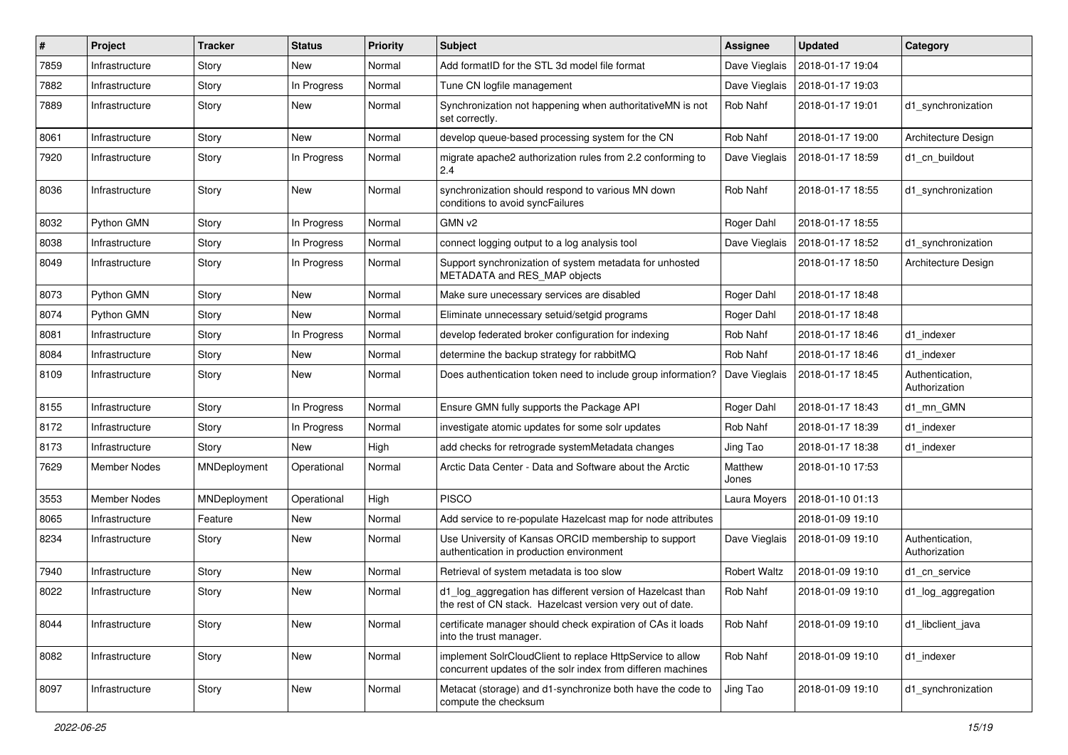| #    | Project        | <b>Tracker</b> | <b>Status</b> | <b>Priority</b> | <b>Subject</b>                                                                                                           | <b>Assignee</b>     | <b>Updated</b>   | Category                         |
|------|----------------|----------------|---------------|-----------------|--------------------------------------------------------------------------------------------------------------------------|---------------------|------------------|----------------------------------|
| 7859 | Infrastructure | Story          | New           | Normal          | Add formatID for the STL 3d model file format                                                                            | Dave Vieglais       | 2018-01-17 19:04 |                                  |
| 7882 | Infrastructure | Story          | In Progress   | Normal          | Tune CN logfile management                                                                                               | Dave Vieglais       | 2018-01-17 19:03 |                                  |
| 7889 | Infrastructure | Story          | New           | Normal          | Synchronization not happening when authoritativeMN is not<br>set correctly.                                              | Rob Nahf            | 2018-01-17 19:01 | d1_synchronization               |
| 8061 | Infrastructure | Story          | <b>New</b>    | Normal          | develop queue-based processing system for the CN                                                                         | Rob Nahf            | 2018-01-17 19:00 | Architecture Design              |
| 7920 | Infrastructure | Story          | In Progress   | Normal          | migrate apache2 authorization rules from 2.2 conforming to<br>2.4                                                        | Dave Vieglais       | 2018-01-17 18:59 | d1_cn_buildout                   |
| 8036 | Infrastructure | Story          | New           | Normal          | synchronization should respond to various MN down<br>conditions to avoid syncFailures                                    | Rob Nahf            | 2018-01-17 18:55 | d1 synchronization               |
| 8032 | Python GMN     | Story          | In Progress   | Normal          | GMN v2                                                                                                                   | Roger Dahl          | 2018-01-17 18:55 |                                  |
| 8038 | Infrastructure | Story          | In Progress   | Normal          | connect logging output to a log analysis tool                                                                            | Dave Vieglais       | 2018-01-17 18:52 | d1_synchronization               |
| 8049 | Infrastructure | Story          | In Progress   | Normal          | Support synchronization of system metadata for unhosted<br>METADATA and RES_MAP objects                                  |                     | 2018-01-17 18:50 | Architecture Design              |
| 8073 | Python GMN     | Story          | New           | Normal          | Make sure unecessary services are disabled                                                                               | Roger Dahl          | 2018-01-17 18:48 |                                  |
| 8074 | Python GMN     | Story          | New           | Normal          | Eliminate unnecessary setuid/setgid programs                                                                             | Roger Dahl          | 2018-01-17 18:48 |                                  |
| 8081 | Infrastructure | Story          | In Progress   | Normal          | develop federated broker configuration for indexing                                                                      | Rob Nahf            | 2018-01-17 18:46 | d1 indexer                       |
| 8084 | Infrastructure | Story          | New           | Normal          | determine the backup strategy for rabbitMQ                                                                               | Rob Nahf            | 2018-01-17 18:46 | d1 indexer                       |
| 8109 | Infrastructure | Story          | New           | Normal          | Does authentication token need to include group information?                                                             | Dave Vieglais       | 2018-01-17 18:45 | Authentication,<br>Authorization |
| 8155 | Infrastructure | Story          | In Progress   | Normal          | Ensure GMN fully supports the Package API                                                                                | Roger Dahl          | 2018-01-17 18:43 | d1_mn_GMN                        |
| 8172 | Infrastructure | Story          | In Progress   | Normal          | investigate atomic updates for some solr updates                                                                         | Rob Nahf            | 2018-01-17 18:39 | d1 indexer                       |
| 8173 | Infrastructure | Story          | New           | High            | add checks for retrograde systemMetadata changes                                                                         | Jing Tao            | 2018-01-17 18:38 | d1 indexer                       |
| 7629 | Member Nodes   | MNDeployment   | Operational   | Normal          | Arctic Data Center - Data and Software about the Arctic                                                                  | Matthew<br>Jones    | 2018-01-10 17:53 |                                  |
| 3553 | Member Nodes   | MNDeployment   | Operational   | High            | <b>PISCO</b>                                                                                                             | Laura Moyers        | 2018-01-10 01:13 |                                  |
| 8065 | Infrastructure | Feature        | New           | Normal          | Add service to re-populate Hazelcast map for node attributes                                                             |                     | 2018-01-09 19:10 |                                  |
| 8234 | Infrastructure | Story          | New           | Normal          | Use University of Kansas ORCID membership to support<br>authentication in production environment                         | Dave Vieglais       | 2018-01-09 19:10 | Authentication,<br>Authorization |
| 7940 | Infrastructure | Story          | New           | Normal          | Retrieval of system metadata is too slow                                                                                 | <b>Robert Waltz</b> | 2018-01-09 19:10 | d1 cn service                    |
| 8022 | Infrastructure | Story          | New           | Normal          | d1_log_aggregation has different version of Hazelcast than<br>the rest of CN stack. Hazelcast version very out of date.  | Rob Nahf            | 2018-01-09 19:10 | d1_log_aggregation               |
| 8044 | Infrastructure | Story          | New           | Normal          | certificate manager should check expiration of CAs it loads<br>into the trust manager.                                   | Rob Nahf            | 2018-01-09 19:10 | d1 libclient java                |
| 8082 | Infrastructure | Story          | New           | Normal          | implement SolrCloudClient to replace HttpService to allow<br>concurrent updates of the solr index from differen machines | Rob Nahf            | 2018-01-09 19:10 | d1_indexer                       |
| 8097 | Infrastructure | Story          | New           | Normal          | Metacat (storage) and d1-synchronize both have the code to<br>compute the checksum                                       | Jing Tao            | 2018-01-09 19:10 | d1_synchronization               |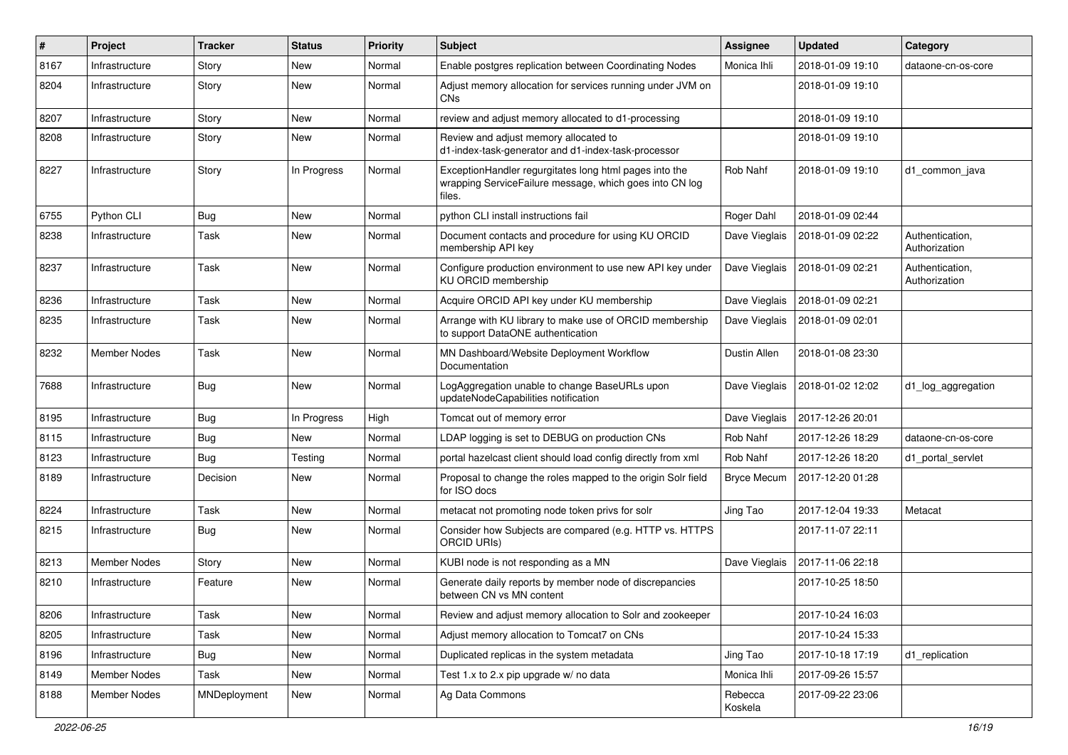| #    | Project             | <b>Tracker</b> | <b>Status</b> | <b>Priority</b> | <b>Subject</b>                                                                                                              | Assignee           | <b>Updated</b>   | Category                         |
|------|---------------------|----------------|---------------|-----------------|-----------------------------------------------------------------------------------------------------------------------------|--------------------|------------------|----------------------------------|
| 8167 | Infrastructure      | Story          | New           | Normal          | Enable postgres replication between Coordinating Nodes                                                                      | Monica Ihli        | 2018-01-09 19:10 | dataone-cn-os-core               |
| 8204 | Infrastructure      | Story          | New           | Normal          | Adjust memory allocation for services running under JVM on<br>CN <sub>s</sub>                                               |                    | 2018-01-09 19:10 |                                  |
| 8207 | Infrastructure      | Story          | New           | Normal          | review and adjust memory allocated to d1-processing                                                                         |                    | 2018-01-09 19:10 |                                  |
| 8208 | Infrastructure      | Story          | New           | Normal          | Review and adjust memory allocated to<br>d1-index-task-generator and d1-index-task-processor                                |                    | 2018-01-09 19:10 |                                  |
| 8227 | Infrastructure      | Story          | In Progress   | Normal          | ExceptionHandler regurgitates long html pages into the<br>wrapping ServiceFailure message, which goes into CN log<br>files. | Rob Nahf           | 2018-01-09 19:10 | d1 common java                   |
| 6755 | Python CLI          | <b>Bug</b>     | New           | Normal          | python CLI install instructions fail                                                                                        | Roger Dahl         | 2018-01-09 02:44 |                                  |
| 8238 | Infrastructure      | Task           | New           | Normal          | Document contacts and procedure for using KU ORCID<br>membership API key                                                    | Dave Vieglais      | 2018-01-09 02:22 | Authentication,<br>Authorization |
| 8237 | Infrastructure      | Task           | New           | Normal          | Configure production environment to use new API key under<br>KU ORCID membership                                            | Dave Vieglais      | 2018-01-09 02:21 | Authentication,<br>Authorization |
| 8236 | Infrastructure      | Task           | <b>New</b>    | Normal          | Acquire ORCID API key under KU membership                                                                                   | Dave Vieglais      | 2018-01-09 02:21 |                                  |
| 8235 | Infrastructure      | Task           | New           | Normal          | Arrange with KU library to make use of ORCID membership<br>to support DataONE authentication                                | Dave Vieglais      | 2018-01-09 02:01 |                                  |
| 8232 | Member Nodes        | Task           | New           | Normal          | MN Dashboard/Website Deployment Workflow<br>Documentation                                                                   | Dustin Allen       | 2018-01-08 23:30 |                                  |
| 7688 | Infrastructure      | <b>Bug</b>     | New           | Normal          | LogAggregation unable to change BaseURLs upon<br>updateNodeCapabilities notification                                        | Dave Vieglais      | 2018-01-02 12:02 | d1_log_aggregation               |
| 8195 | Infrastructure      | Bug            | In Progress   | High            | Tomcat out of memory error                                                                                                  | Dave Vieglais      | 2017-12-26 20:01 |                                  |
| 8115 | Infrastructure      | <b>Bug</b>     | New           | Normal          | LDAP logging is set to DEBUG on production CNs                                                                              | Rob Nahf           | 2017-12-26 18:29 | dataone-cn-os-core               |
| 8123 | Infrastructure      | <b>Bug</b>     | Testing       | Normal          | portal hazelcast client should load config directly from xml                                                                | Rob Nahf           | 2017-12-26 18:20 | d1_portal_servlet                |
| 8189 | Infrastructure      | Decision       | New           | Normal          | Proposal to change the roles mapped to the origin Solr field<br>for ISO docs                                                | <b>Bryce Mecum</b> | 2017-12-20 01:28 |                                  |
| 8224 | Infrastructure      | Task           | New           | Normal          | metacat not promoting node token privs for solr                                                                             | Jing Tao           | 2017-12-04 19:33 | Metacat                          |
| 8215 | Infrastructure      | <b>Bug</b>     | New           | Normal          | Consider how Subjects are compared (e.g. HTTP vs. HTTPS<br><b>ORCID URIS)</b>                                               |                    | 2017-11-07 22:11 |                                  |
| 8213 | Member Nodes        | Story          | New           | Normal          | KUBI node is not responding as a MN                                                                                         | Dave Vieglais      | 2017-11-06 22:18 |                                  |
| 8210 | Infrastructure      | Feature        | New           | Normal          | Generate daily reports by member node of discrepancies<br>between CN vs MN content                                          |                    | 2017-10-25 18:50 |                                  |
| 8206 | Infrastructure      | Task           | New           | Normal          | Review and adjust memory allocation to Solr and zookeeper                                                                   |                    | 2017-10-24 16:03 |                                  |
| 8205 | Infrastructure      | Task           | New           | Normal          | Adjust memory allocation to Tomcat7 on CNs                                                                                  |                    | 2017-10-24 15:33 |                                  |
| 8196 | Infrastructure      | <b>Bug</b>     | New           | Normal          | Duplicated replicas in the system metadata                                                                                  | Jing Tao           | 2017-10-18 17:19 | d1 replication                   |
| 8149 | <b>Member Nodes</b> | Task           | New           | Normal          | Test 1.x to 2.x pip upgrade w/ no data                                                                                      | Monica Ihli        | 2017-09-26 15:57 |                                  |
| 8188 | Member Nodes        | MNDeployment   | New           | Normal          | Ag Data Commons                                                                                                             | Rebecca<br>Koskela | 2017-09-22 23:06 |                                  |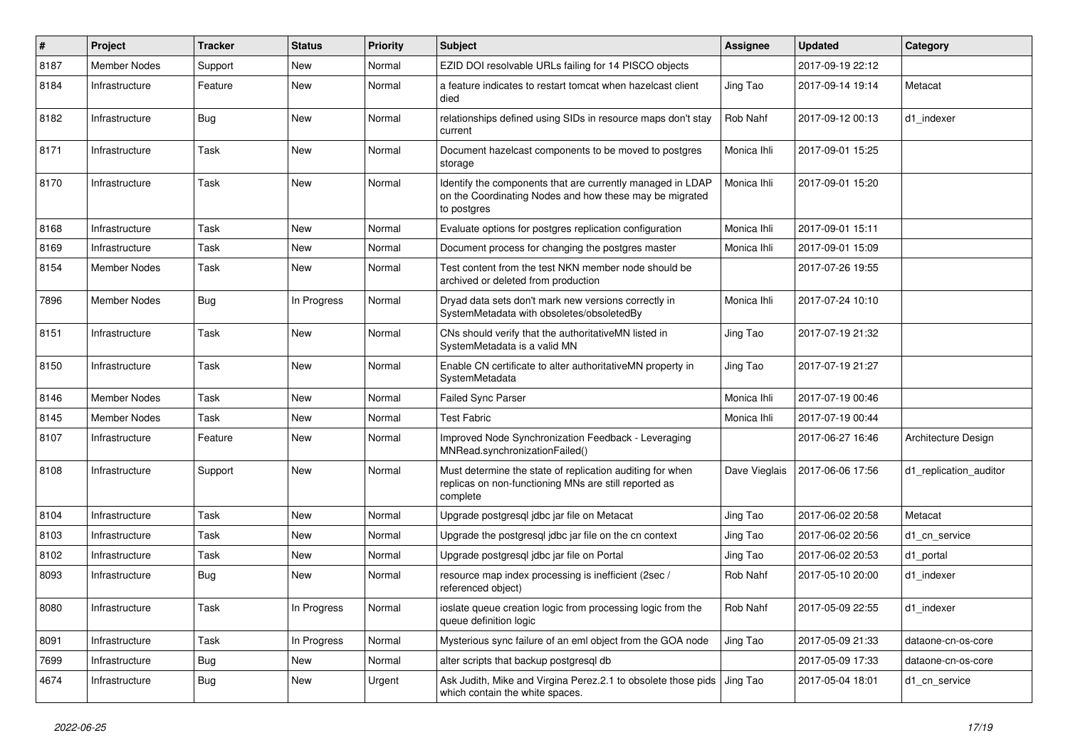| #    | Project             | <b>Tracker</b> | <b>Status</b> | <b>Priority</b> | Subject                                                                                                                              | Assignee      | <b>Updated</b>   | Category               |
|------|---------------------|----------------|---------------|-----------------|--------------------------------------------------------------------------------------------------------------------------------------|---------------|------------------|------------------------|
| 8187 | <b>Member Nodes</b> | Support        | New           | Normal          | EZID DOI resolvable URLs failing for 14 PISCO objects                                                                                |               | 2017-09-19 22:12 |                        |
| 8184 | Infrastructure      | Feature        | New           | Normal          | a feature indicates to restart tomcat when hazelcast client<br>died                                                                  | Jing Tao      | 2017-09-14 19:14 | Metacat                |
| 8182 | Infrastructure      | <b>Bug</b>     | New           | Normal          | relationships defined using SIDs in resource maps don't stay<br>current                                                              | Rob Nahf      | 2017-09-12 00:13 | d1 indexer             |
| 8171 | Infrastructure      | Task           | New           | Normal          | Document hazelcast components to be moved to postgres<br>storage                                                                     | Monica Ihli   | 2017-09-01 15:25 |                        |
| 8170 | Infrastructure      | Task           | New           | Normal          | Identify the components that are currently managed in LDAP<br>on the Coordinating Nodes and how these may be migrated<br>to postgres | Monica Ihli   | 2017-09-01 15:20 |                        |
| 8168 | Infrastructure      | Task           | New           | Normal          | Evaluate options for postgres replication configuration                                                                              | Monica Ihli   | 2017-09-01 15:11 |                        |
| 8169 | Infrastructure      | Task           | New           | Normal          | Document process for changing the postgres master                                                                                    | Monica Ihli   | 2017-09-01 15:09 |                        |
| 8154 | Member Nodes        | Task           | New           | Normal          | Test content from the test NKN member node should be<br>archived or deleted from production                                          |               | 2017-07-26 19:55 |                        |
| 7896 | Member Nodes        | <b>Bug</b>     | In Progress   | Normal          | Dryad data sets don't mark new versions correctly in<br>SystemMetadata with obsoletes/obsoletedBy                                    | Monica Ihli   | 2017-07-24 10:10 |                        |
| 8151 | Infrastructure      | Task           | New           | Normal          | CNs should verify that the authoritativeMN listed in<br>SystemMetadata is a valid MN                                                 | Jing Tao      | 2017-07-19 21:32 |                        |
| 8150 | Infrastructure      | Task           | New           | Normal          | Enable CN certificate to alter authoritativeMN property in<br>SystemMetadata                                                         | Jing Tao      | 2017-07-19 21:27 |                        |
| 8146 | <b>Member Nodes</b> | Task           | <b>New</b>    | Normal          | <b>Failed Sync Parser</b>                                                                                                            | Monica Ihli   | 2017-07-19 00:46 |                        |
| 8145 | Member Nodes        | Task           | New           | Normal          | <b>Test Fabric</b>                                                                                                                   | Monica Ihli   | 2017-07-19 00:44 |                        |
| 8107 | Infrastructure      | Feature        | New           | Normal          | Improved Node Synchronization Feedback - Leveraging<br>MNRead.synchronizationFailed()                                                |               | 2017-06-27 16:46 | Architecture Design    |
| 8108 | Infrastructure      | Support        | New           | Normal          | Must determine the state of replication auditing for when<br>replicas on non-functioning MNs are still reported as<br>complete       | Dave Vieglais | 2017-06-06 17:56 | d1 replication auditor |
| 8104 | Infrastructure      | Task           | New           | Normal          | Upgrade postgresql jdbc jar file on Metacat                                                                                          | Jing Tao      | 2017-06-02 20:58 | Metacat                |
| 8103 | Infrastructure      | Task           | New           | Normal          | Upgrade the postgresql jdbc jar file on the cn context                                                                               | Jing Tao      | 2017-06-02 20:56 | d1 cn service          |
| 8102 | Infrastructure      | Task           | New           | Normal          | Upgrade postgresgl jdbc jar file on Portal                                                                                           | Jing Tao      | 2017-06-02 20:53 | d1_portal              |
| 8093 | Infrastructure      | <b>Bug</b>     | New           | Normal          | resource map index processing is inefficient (2sec /<br>referenced object)                                                           | Rob Nahf      | 2017-05-10 20:00 | d1 indexer             |
| 8080 | Infrastructure      | Task           | In Progress   | Normal          | ioslate queue creation logic from processing logic from the<br>queue definition logic                                                | Rob Nahf      | 2017-05-09 22:55 | d1_indexer             |
| 8091 | Infrastructure      | Task           | In Progress   | Normal          | Mysterious sync failure of an eml object from the GOA node                                                                           | Jing Tao      | 2017-05-09 21:33 | dataone-cn-os-core     |
| 7699 | Infrastructure      | Bug            | New           | Normal          | alter scripts that backup postgresql db                                                                                              |               | 2017-05-09 17:33 | dataone-cn-os-core     |
| 4674 | Infrastructure      | <b>Bug</b>     | New           | Urgent          | Ask Judith, Mike and Virgina Perez.2.1 to obsolete those pids Jing Tao<br>which contain the white spaces.                            |               | 2017-05-04 18:01 | d1_cn_service          |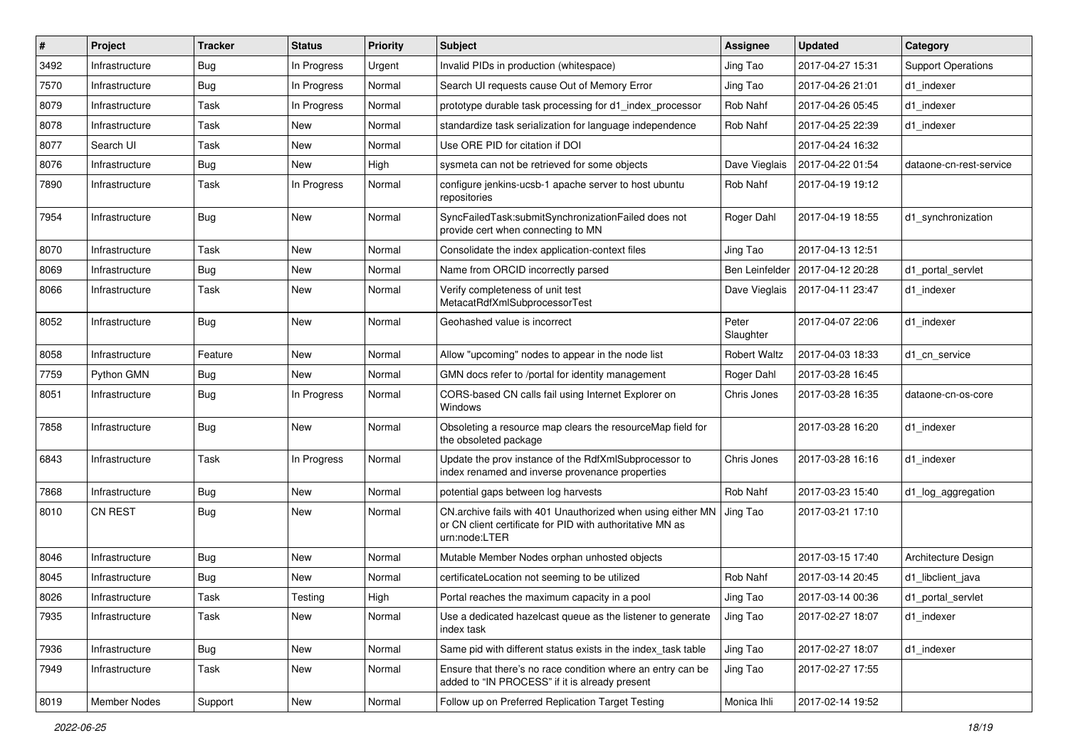| $\sharp$ | Project        | <b>Tracker</b> | <b>Status</b> | <b>Priority</b> | <b>Subject</b>                                                                                                                            | Assignee            | <b>Updated</b>   | Category                  |
|----------|----------------|----------------|---------------|-----------------|-------------------------------------------------------------------------------------------------------------------------------------------|---------------------|------------------|---------------------------|
| 3492     | Infrastructure | <b>Bug</b>     | In Progress   | Urgent          | Invalid PIDs in production (whitespace)                                                                                                   | Jing Tao            | 2017-04-27 15:31 | <b>Support Operations</b> |
| 7570     | Infrastructure | Bug            | In Progress   | Normal          | Search UI requests cause Out of Memory Error                                                                                              | Jing Tao            | 2017-04-26 21:01 | d1 indexer                |
| 8079     | Infrastructure | Task           | In Progress   | Normal          | prototype durable task processing for d1 index processor                                                                                  | Rob Nahf            | 2017-04-26 05:45 | d1 indexer                |
| 8078     | Infrastructure | Task           | New           | Normal          | standardize task serialization for language independence                                                                                  | Rob Nahf            | 2017-04-25 22:39 | d1 indexer                |
| 8077     | Search UI      | Task           | New           | Normal          | Use ORE PID for citation if DOI                                                                                                           |                     | 2017-04-24 16:32 |                           |
| 8076     | Infrastructure | Bug            | New           | High            | sysmeta can not be retrieved for some objects                                                                                             | Dave Vieglais       | 2017-04-22 01:54 | dataone-cn-rest-service   |
| 7890     | Infrastructure | Task           | In Progress   | Normal          | configure jenkins-ucsb-1 apache server to host ubuntu<br>repositories                                                                     | Rob Nahf            | 2017-04-19 19:12 |                           |
| 7954     | Infrastructure | <b>Bug</b>     | New           | Normal          | SyncFailedTask:submitSynchronizationFailed does not<br>provide cert when connecting to MN                                                 | Roger Dahl          | 2017-04-19 18:55 | d1_synchronization        |
| 8070     | Infrastructure | Task           | New           | Normal          | Consolidate the index application-context files                                                                                           | Jing Tao            | 2017-04-13 12:51 |                           |
| 8069     | Infrastructure | Bug            | New           | Normal          | Name from ORCID incorrectly parsed                                                                                                        | Ben Leinfelder      | 2017-04-12 20:28 | d1 portal servlet         |
| 8066     | Infrastructure | Task           | New           | Normal          | Verify completeness of unit test<br>MetacatRdfXmlSubprocessorTest                                                                         | Dave Vieglais       | 2017-04-11 23:47 | d1 indexer                |
| 8052     | Infrastructure | <b>Bug</b>     | New           | Normal          | Geohashed value is incorrect                                                                                                              | Peter<br>Slaughter  | 2017-04-07 22:06 | d1 indexer                |
| 8058     | Infrastructure | Feature        | New           | Normal          | Allow "upcoming" nodes to appear in the node list                                                                                         | <b>Robert Waltz</b> | 2017-04-03 18:33 | d1 cn service             |
| 7759     | Python GMN     | <b>Bug</b>     | New           | Normal          | GMN docs refer to /portal for identity management                                                                                         | Roger Dahl          | 2017-03-28 16:45 |                           |
| 8051     | Infrastructure | Bug            | In Progress   | Normal          | CORS-based CN calls fail using Internet Explorer on<br>Windows                                                                            | Chris Jones         | 2017-03-28 16:35 | dataone-cn-os-core        |
| 7858     | Infrastructure | Bug            | New           | Normal          | Obsoleting a resource map clears the resourceMap field for<br>the obsoleted package                                                       |                     | 2017-03-28 16:20 | d1 indexer                |
| 6843     | Infrastructure | Task           | In Progress   | Normal          | Update the prov instance of the RdfXmlSubprocessor to<br>index renamed and inverse provenance properties                                  | Chris Jones         | 2017-03-28 16:16 | d1 indexer                |
| 7868     | Infrastructure | Bug            | New           | Normal          | potential gaps between log harvests                                                                                                       | Rob Nahf            | 2017-03-23 15:40 | d1_log_aggregation        |
| 8010     | <b>CN REST</b> | <b>Bug</b>     | New           | Normal          | CN.archive fails with 401 Unauthorized when using either MN<br>or CN client certificate for PID with authoritative MN as<br>urn:node:LTER | Jing Tao            | 2017-03-21 17:10 |                           |
| 8046     | Infrastructure | <b>Bug</b>     | New           | Normal          | Mutable Member Nodes orphan unhosted objects                                                                                              |                     | 2017-03-15 17:40 | Architecture Design       |
| 8045     | Infrastructure | <b>Bug</b>     | New           | Normal          | certificateLocation not seeming to be utilized                                                                                            | Rob Nahf            | 2017-03-14 20:45 | d1_libclient_java         |
| 8026     | Infrastructure | Task           | Testing       | High            | Portal reaches the maximum capacity in a pool                                                                                             | Jing Tao            | 2017-03-14 00:36 | d1 portal servlet         |
| 7935     | Infrastructure | Task           | New           | Normal          | Use a dedicated hazelcast queue as the listener to generate<br>index task                                                                 | Jing Tao            | 2017-02-27 18:07 | d1_indexer                |
| 7936     | Infrastructure | <b>Bug</b>     | New           | Normal          | Same pid with different status exists in the index_task table                                                                             | Jing Tao            | 2017-02-27 18:07 | d1_indexer                |
| 7949     | Infrastructure | Task           | New           | Normal          | Ensure that there's no race condition where an entry can be<br>added to "IN PROCESS" if it is already present                             | Jing Tao            | 2017-02-27 17:55 |                           |
| 8019     | Member Nodes   | Support        | New           | Normal          | Follow up on Preferred Replication Target Testing                                                                                         | Monica Ihli         | 2017-02-14 19:52 |                           |